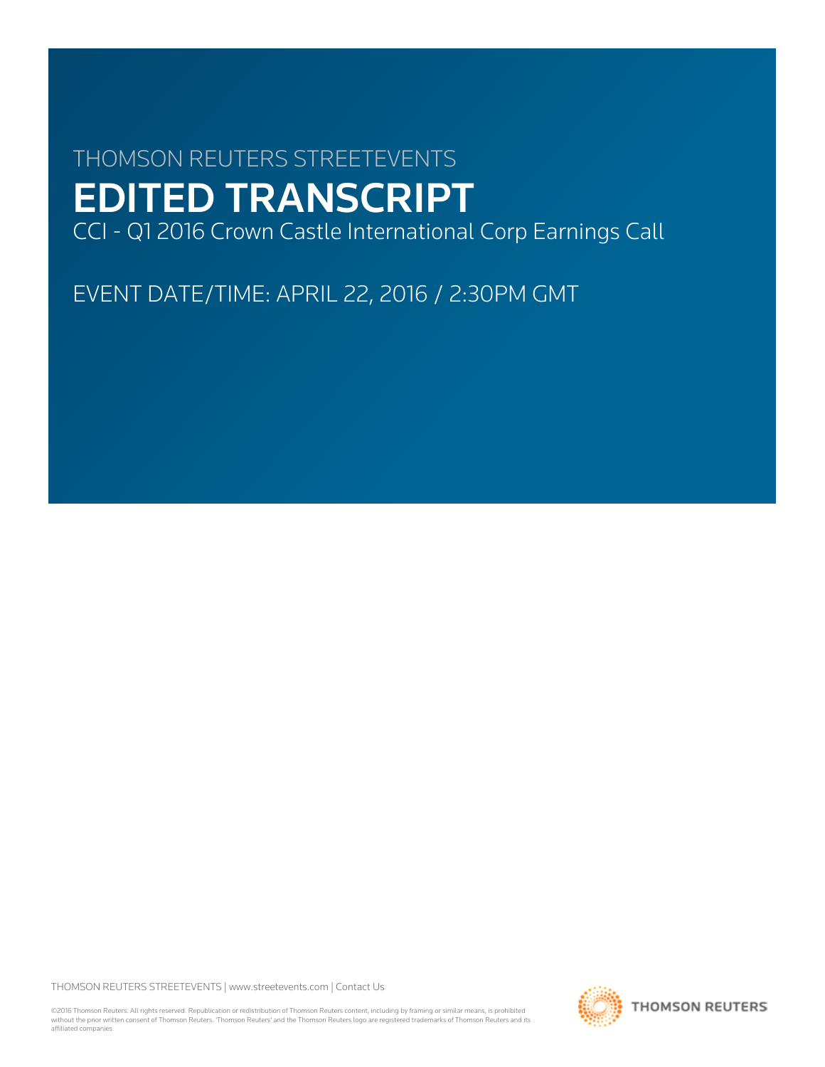# THOMSON REUTERS STREETEVENTS EDITED TRANSCRIPT

CCI - Q1 2016 Crown Castle International Corp Earnings Call

EVENT DATE/TIME: APRIL 22, 2016 / 2:30PM GMT

THOMSON REUTERS STREETEVENTS | [www.streetevents.com](http://www.streetevents.com) | [Contact Us](http://www010.streetevents.com/contact.asp)

©2016 Thomson Reuters. All rights reserved. Republication or redistribution of Thomson Reuters content, including by framing or similar means, is prohibited without the prior written consent of Thomson Reuters. 'Thomson Reuters' and the Thomson Reuters logo are registered trademarks of Thomson Reuters and its affiliated companies.

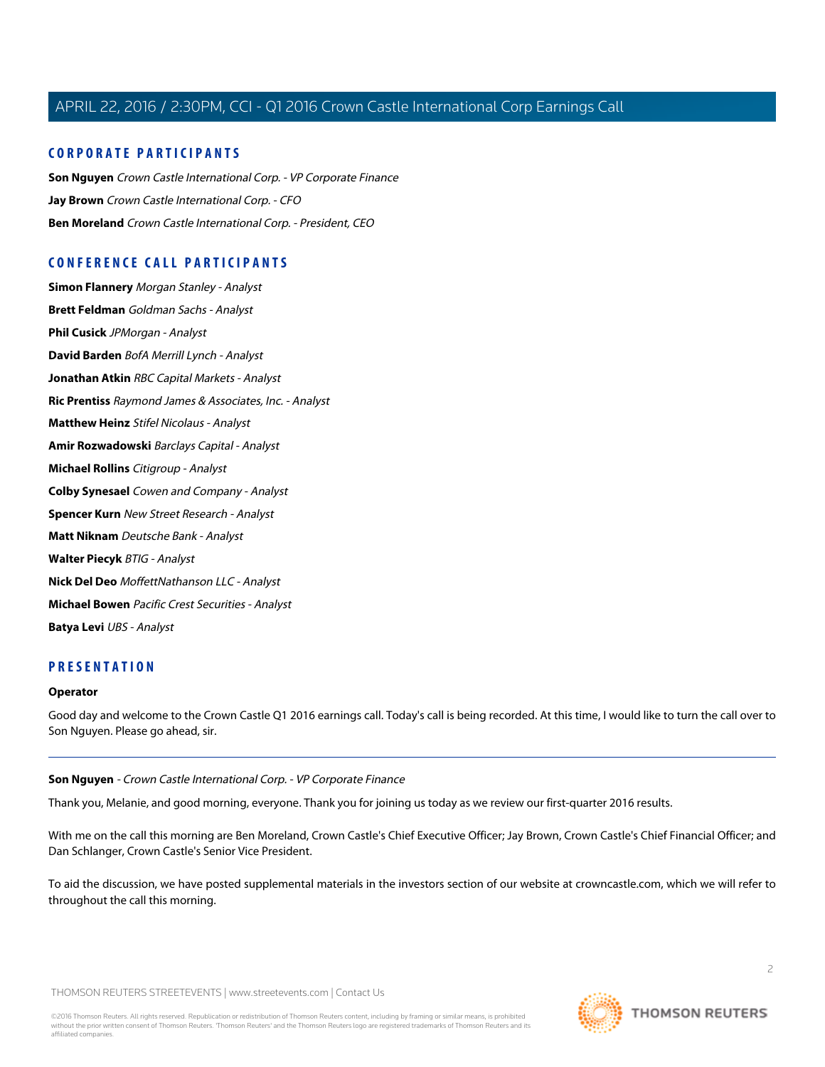# **CORPORATE PARTICIPANTS**

**[Son Nguyen](#page-1-0)** Crown Castle International Corp. - VP Corporate Finance **[Jay Brown](#page-2-0)** Crown Castle International Corp. - CFO **[Ben Moreland](#page-4-0)** Crown Castle International Corp. - President, CEO

# **CONFERENCE CALL PARTICIPANTS**

**[Simon Flannery](#page-6-0)** Morgan Stanley - Analyst **[Brett Feldman](#page-6-1)** Goldman Sachs - Analyst **[Phil Cusick](#page-8-0)** JPMorgan - Analyst **[David Barden](#page-9-0)** BofA Merrill Lynch - Analyst **[Jonathan Atkin](#page-10-0)** RBC Capital Markets - Analyst **[Ric Prentiss](#page-12-0)** Raymond James & Associates, Inc. - Analyst **[Matthew Heinz](#page-14-0)** Stifel Nicolaus - Analyst **[Amir Rozwadowski](#page-15-0)** Barclays Capital - Analyst **[Michael Rollins](#page-17-0)** Citigroup - Analyst **[Colby Synesael](#page-18-0)** Cowen and Company - Analyst **[Spencer Kurn](#page-19-0)** New Street Research - Analyst **[Matt Niknam](#page-20-0)** Deutsche Bank - Analyst **[Walter Piecyk](#page-21-0)** BTIG - Analyst **[Nick Del Deo](#page-23-0)** MoffettNathanson LLC - Analyst **[Michael Bowen](#page-24-0)** Pacific Crest Securities - Analyst **[Batya Levi](#page-25-0)** UBS - Analyst

# **PRESENTATION**

### <span id="page-1-0"></span>**Operator**

Good day and welcome to the Crown Castle Q1 2016 earnings call. Today's call is being recorded. At this time, I would like to turn the call over to Son Nguyen. Please go ahead, sir.

**Son Nguyen** - Crown Castle International Corp. - VP Corporate Finance

Thank you, Melanie, and good morning, everyone. Thank you for joining us today as we review our first-quarter 2016 results.

With me on the call this morning are Ben Moreland, Crown Castle's Chief Executive Officer; Jay Brown, Crown Castle's Chief Financial Officer; and Dan Schlanger, Crown Castle's Senior Vice President.

To aid the discussion, we have posted supplemental materials in the investors section of our website at crowncastle.com, which we will refer to throughout the call this morning.

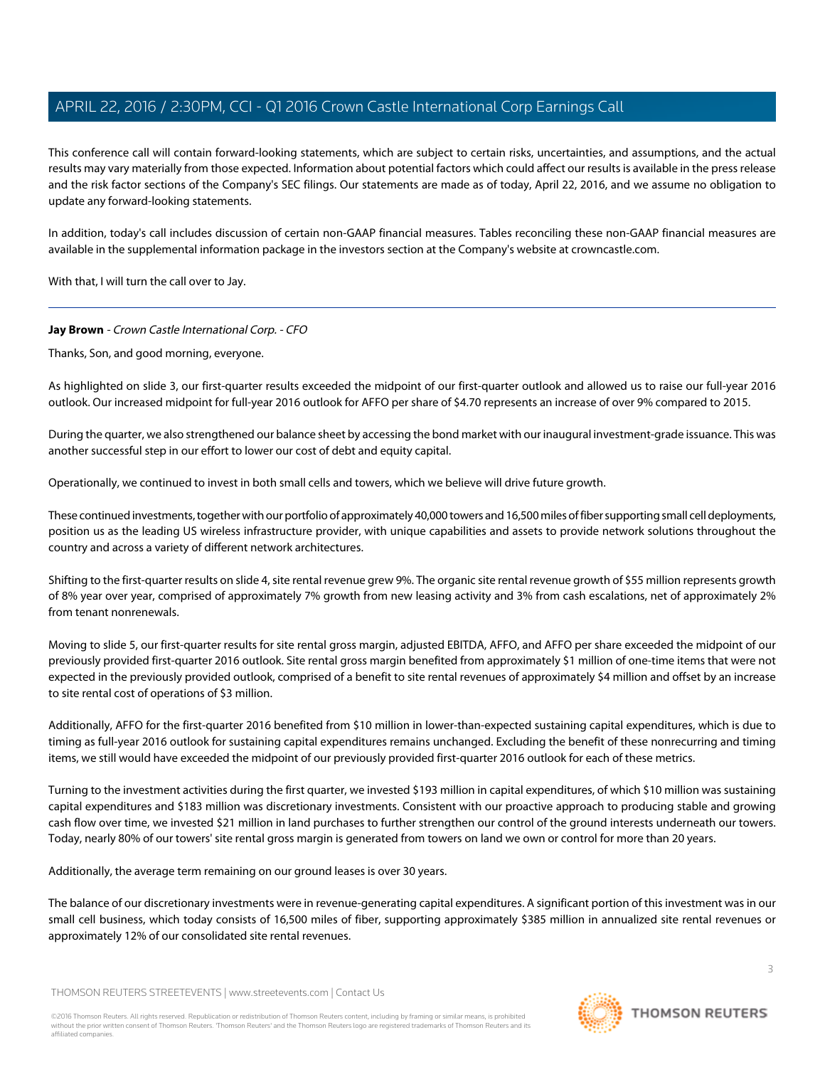This conference call will contain forward-looking statements, which are subject to certain risks, uncertainties, and assumptions, and the actual results may vary materially from those expected. Information about potential factors which could affect our results is available in the press release and the risk factor sections of the Company's SEC filings. Our statements are made as of today, April 22, 2016, and we assume no obligation to update any forward-looking statements.

In addition, today's call includes discussion of certain non-GAAP financial measures. Tables reconciling these non-GAAP financial measures are available in the supplemental information package in the investors section at the Company's website at crowncastle.com.

<span id="page-2-0"></span>With that, I will turn the call over to Jay.

### **Jay Brown** - Crown Castle International Corp. - CFO

Thanks, Son, and good morning, everyone.

As highlighted on slide 3, our first-quarter results exceeded the midpoint of our first-quarter outlook and allowed us to raise our full-year 2016 outlook. Our increased midpoint for full-year 2016 outlook for AFFO per share of \$4.70 represents an increase of over 9% compared to 2015.

During the quarter, we also strengthened our balance sheet by accessing the bond market with our inaugural investment-grade issuance. This was another successful step in our effort to lower our cost of debt and equity capital.

Operationally, we continued to invest in both small cells and towers, which we believe will drive future growth.

These continued investments, together with our portfolio of approximately 40,000 towers and 16,500 miles of fiber supporting small cell deployments, position us as the leading US wireless infrastructure provider, with unique capabilities and assets to provide network solutions throughout the country and across a variety of different network architectures.

Shifting to the first-quarter results on slide 4, site rental revenue grew 9%. The organic site rental revenue growth of \$55 million represents growth of 8% year over year, comprised of approximately 7% growth from new leasing activity and 3% from cash escalations, net of approximately 2% from tenant nonrenewals.

Moving to slide 5, our first-quarter results for site rental gross margin, adjusted EBITDA, AFFO, and AFFO per share exceeded the midpoint of our previously provided first-quarter 2016 outlook. Site rental gross margin benefited from approximately \$1 million of one-time items that were not expected in the previously provided outlook, comprised of a benefit to site rental revenues of approximately \$4 million and offset by an increase to site rental cost of operations of \$3 million.

Additionally, AFFO for the first-quarter 2016 benefited from \$10 million in lower-than-expected sustaining capital expenditures, which is due to timing as full-year 2016 outlook for sustaining capital expenditures remains unchanged. Excluding the benefit of these nonrecurring and timing items, we still would have exceeded the midpoint of our previously provided first-quarter 2016 outlook for each of these metrics.

Turning to the investment activities during the first quarter, we invested \$193 million in capital expenditures, of which \$10 million was sustaining capital expenditures and \$183 million was discretionary investments. Consistent with our proactive approach to producing stable and growing cash flow over time, we invested \$21 million in land purchases to further strengthen our control of the ground interests underneath our towers. Today, nearly 80% of our towers' site rental gross margin is generated from towers on land we own or control for more than 20 years.

Additionally, the average term remaining on our ground leases is over 30 years.

The balance of our discretionary investments were in revenue-generating capital expenditures. A significant portion of this investment was in our small cell business, which today consists of 16,500 miles of fiber, supporting approximately \$385 million in annualized site rental revenues or approximately 12% of our consolidated site rental revenues.

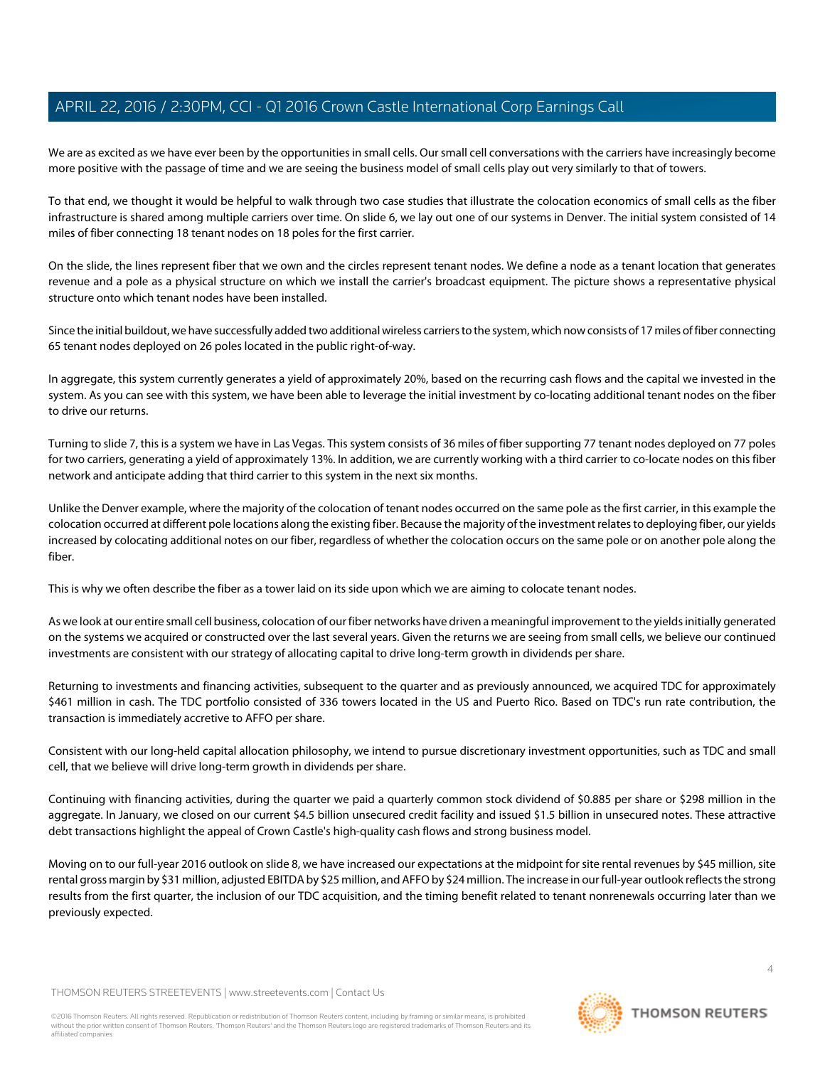We are as excited as we have ever been by the opportunities in small cells. Our small cell conversations with the carriers have increasingly become more positive with the passage of time and we are seeing the business model of small cells play out very similarly to that of towers.

To that end, we thought it would be helpful to walk through two case studies that illustrate the colocation economics of small cells as the fiber infrastructure is shared among multiple carriers over time. On slide 6, we lay out one of our systems in Denver. The initial system consisted of 14 miles of fiber connecting 18 tenant nodes on 18 poles for the first carrier.

On the slide, the lines represent fiber that we own and the circles represent tenant nodes. We define a node as a tenant location that generates revenue and a pole as a physical structure on which we install the carrier's broadcast equipment. The picture shows a representative physical structure onto which tenant nodes have been installed.

Since the initial buildout, we have successfully added two additional wireless carriers to the system, which now consists of 17 miles of fiber connecting 65 tenant nodes deployed on 26 poles located in the public right-of-way.

In aggregate, this system currently generates a yield of approximately 20%, based on the recurring cash flows and the capital we invested in the system. As you can see with this system, we have been able to leverage the initial investment by co-locating additional tenant nodes on the fiber to drive our returns.

Turning to slide 7, this is a system we have in Las Vegas. This system consists of 36 miles of fiber supporting 77 tenant nodes deployed on 77 poles for two carriers, generating a yield of approximately 13%. In addition, we are currently working with a third carrier to co-locate nodes on this fiber network and anticipate adding that third carrier to this system in the next six months.

Unlike the Denver example, where the majority of the colocation of tenant nodes occurred on the same pole as the first carrier, in this example the colocation occurred at different pole locations along the existing fiber. Because the majority of the investment relates to deploying fiber, our yields increased by colocating additional notes on our fiber, regardless of whether the colocation occurs on the same pole or on another pole along the fiber.

This is why we often describe the fiber as a tower laid on its side upon which we are aiming to colocate tenant nodes.

As we look at our entire small cell business, colocation of our fiber networks have driven a meaningful improvement to the yields initially generated on the systems we acquired or constructed over the last several years. Given the returns we are seeing from small cells, we believe our continued investments are consistent with our strategy of allocating capital to drive long-term growth in dividends per share.

Returning to investments and financing activities, subsequent to the quarter and as previously announced, we acquired TDC for approximately \$461 million in cash. The TDC portfolio consisted of 336 towers located in the US and Puerto Rico. Based on TDC's run rate contribution, the transaction is immediately accretive to AFFO per share.

Consistent with our long-held capital allocation philosophy, we intend to pursue discretionary investment opportunities, such as TDC and small cell, that we believe will drive long-term growth in dividends per share.

Continuing with financing activities, during the quarter we paid a quarterly common stock dividend of \$0.885 per share or \$298 million in the aggregate. In January, we closed on our current \$4.5 billion unsecured credit facility and issued \$1.5 billion in unsecured notes. These attractive debt transactions highlight the appeal of Crown Castle's high-quality cash flows and strong business model.

Moving on to our full-year 2016 outlook on slide 8, we have increased our expectations at the midpoint for site rental revenues by \$45 million, site rental gross margin by \$31 million, adjusted EBITDA by \$25 million, and AFFO by \$24 million. The increase in our full-year outlook reflects the strong results from the first quarter, the inclusion of our TDC acquisition, and the timing benefit related to tenant nonrenewals occurring later than we previously expected.

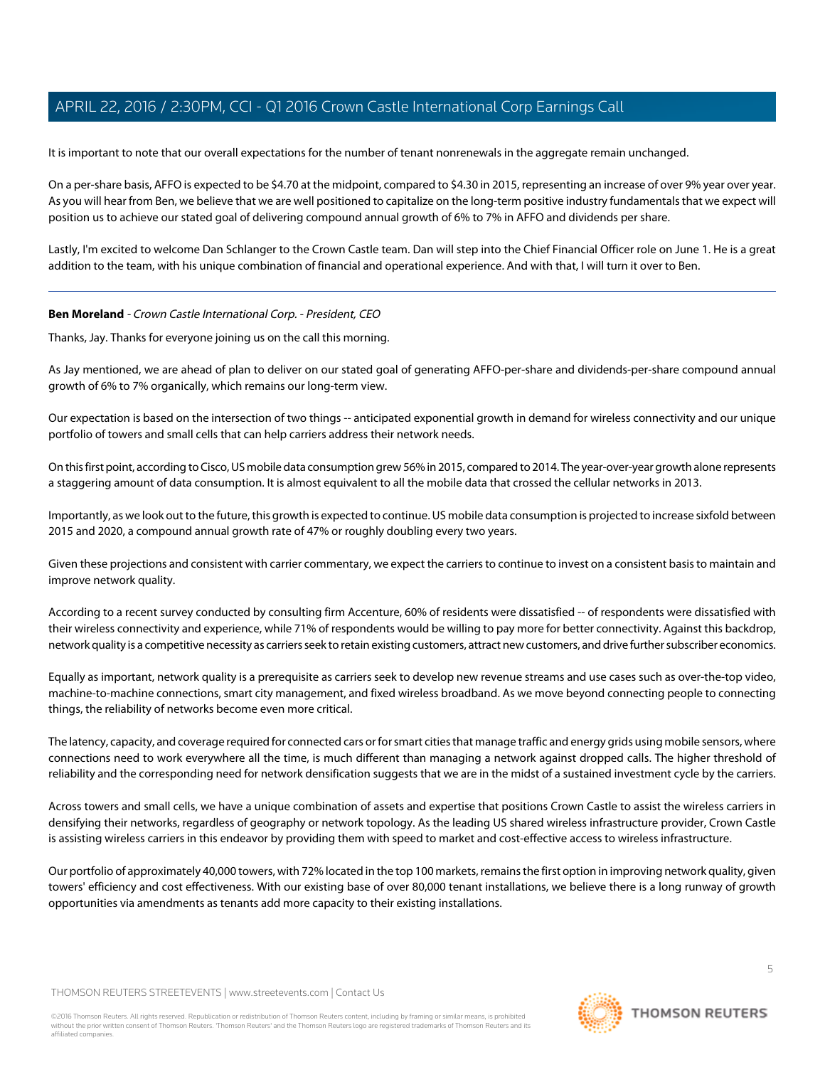It is important to note that our overall expectations for the number of tenant nonrenewals in the aggregate remain unchanged.

On a per-share basis, AFFO is expected to be \$4.70 at the midpoint, compared to \$4.30 in 2015, representing an increase of over 9% year over year. As you will hear from Ben, we believe that we are well positioned to capitalize on the long-term positive industry fundamentals that we expect will position us to achieve our stated goal of delivering compound annual growth of 6% to 7% in AFFO and dividends per share.

Lastly, I'm excited to welcome Dan Schlanger to the Crown Castle team. Dan will step into the Chief Financial Officer role on June 1. He is a great addition to the team, with his unique combination of financial and operational experience. And with that, I will turn it over to Ben.

### <span id="page-4-0"></span>**Ben Moreland** - Crown Castle International Corp. - President, CEO

Thanks, Jay. Thanks for everyone joining us on the call this morning.

As Jay mentioned, we are ahead of plan to deliver on our stated goal of generating AFFO-per-share and dividends-per-share compound annual growth of 6% to 7% organically, which remains our long-term view.

Our expectation is based on the intersection of two things -- anticipated exponential growth in demand for wireless connectivity and our unique portfolio of towers and small cells that can help carriers address their network needs.

On this first point, according to Cisco, US mobile data consumption grew 56% in 2015, compared to 2014. The year-over-year growth alone represents a staggering amount of data consumption. It is almost equivalent to all the mobile data that crossed the cellular networks in 2013.

Importantly, as we look out to the future, this growth is expected to continue. US mobile data consumption is projected to increase sixfold between 2015 and 2020, a compound annual growth rate of 47% or roughly doubling every two years.

Given these projections and consistent with carrier commentary, we expect the carriers to continue to invest on a consistent basis to maintain and improve network quality.

According to a recent survey conducted by consulting firm Accenture, 60% of residents were dissatisfied -- of respondents were dissatisfied with their wireless connectivity and experience, while 71% of respondents would be willing to pay more for better connectivity. Against this backdrop, network quality is a competitive necessity as carriers seek to retain existing customers, attract new customers, and drive further subscriber economics.

Equally as important, network quality is a prerequisite as carriers seek to develop new revenue streams and use cases such as over-the-top video, machine-to-machine connections, smart city management, and fixed wireless broadband. As we move beyond connecting people to connecting things, the reliability of networks become even more critical.

The latency, capacity, and coverage required for connected cars or for smart cities that manage traffic and energy grids using mobile sensors, where connections need to work everywhere all the time, is much different than managing a network against dropped calls. The higher threshold of reliability and the corresponding need for network densification suggests that we are in the midst of a sustained investment cycle by the carriers.

Across towers and small cells, we have a unique combination of assets and expertise that positions Crown Castle to assist the wireless carriers in densifying their networks, regardless of geography or network topology. As the leading US shared wireless infrastructure provider, Crown Castle is assisting wireless carriers in this endeavor by providing them with speed to market and cost-effective access to wireless infrastructure.

Our portfolio of approximately 40,000 towers, with 72% located in the top 100 markets, remains the first option in improving network quality, given towers' efficiency and cost effectiveness. With our existing base of over 80,000 tenant installations, we believe there is a long runway of growth opportunities via amendments as tenants add more capacity to their existing installations.

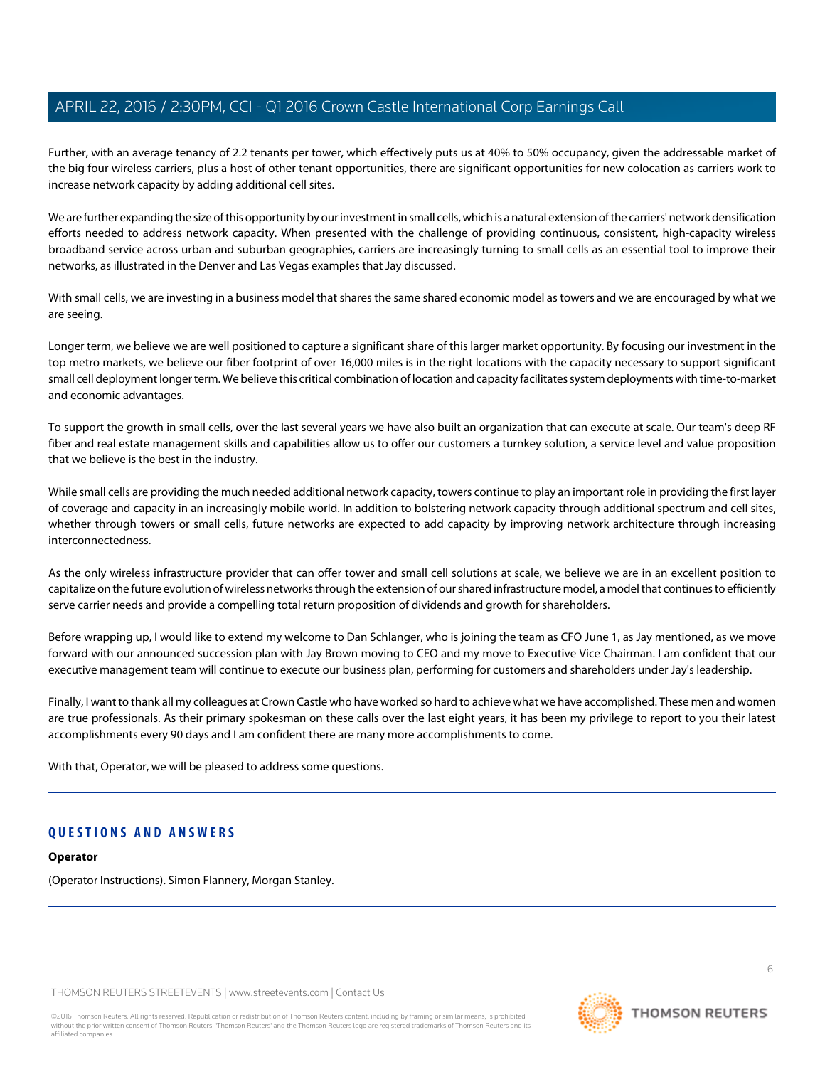Further, with an average tenancy of 2.2 tenants per tower, which effectively puts us at 40% to 50% occupancy, given the addressable market of the big four wireless carriers, plus a host of other tenant opportunities, there are significant opportunities for new colocation as carriers work to increase network capacity by adding additional cell sites.

We are further expanding the size of this opportunity by our investment in small cells, which is a natural extension of the carriers' network densification efforts needed to address network capacity. When presented with the challenge of providing continuous, consistent, high-capacity wireless broadband service across urban and suburban geographies, carriers are increasingly turning to small cells as an essential tool to improve their networks, as illustrated in the Denver and Las Vegas examples that Jay discussed.

With small cells, we are investing in a business model that shares the same shared economic model as towers and we are encouraged by what we are seeing.

Longer term, we believe we are well positioned to capture a significant share of this larger market opportunity. By focusing our investment in the top metro markets, we believe our fiber footprint of over 16,000 miles is in the right locations with the capacity necessary to support significant small cell deployment longer term. We believe this critical combination of location and capacity facilitates system deployments with time-to-market and economic advantages.

To support the growth in small cells, over the last several years we have also built an organization that can execute at scale. Our team's deep RF fiber and real estate management skills and capabilities allow us to offer our customers a turnkey solution, a service level and value proposition that we believe is the best in the industry.

While small cells are providing the much needed additional network capacity, towers continue to play an important role in providing the first layer of coverage and capacity in an increasingly mobile world. In addition to bolstering network capacity through additional spectrum and cell sites, whether through towers or small cells, future networks are expected to add capacity by improving network architecture through increasing interconnectedness.

As the only wireless infrastructure provider that can offer tower and small cell solutions at scale, we believe we are in an excellent position to capitalize on the future evolution of wireless networks through the extension of our shared infrastructure model, a model that continues to efficiently serve carrier needs and provide a compelling total return proposition of dividends and growth for shareholders.

Before wrapping up, I would like to extend my welcome to Dan Schlanger, who is joining the team as CFO June 1, as Jay mentioned, as we move forward with our announced succession plan with Jay Brown moving to CEO and my move to Executive Vice Chairman. I am confident that our executive management team will continue to execute our business plan, performing for customers and shareholders under Jay's leadership.

Finally, I want to thank all my colleagues at Crown Castle who have worked so hard to achieve what we have accomplished. These men and women are true professionals. As their primary spokesman on these calls over the last eight years, it has been my privilege to report to you their latest accomplishments every 90 days and I am confident there are many more accomplishments to come.

With that, Operator, we will be pleased to address some questions.

# **QUESTIONS AND ANSWERS**

### **Operator**

(Operator Instructions). Simon Flannery, Morgan Stanley.

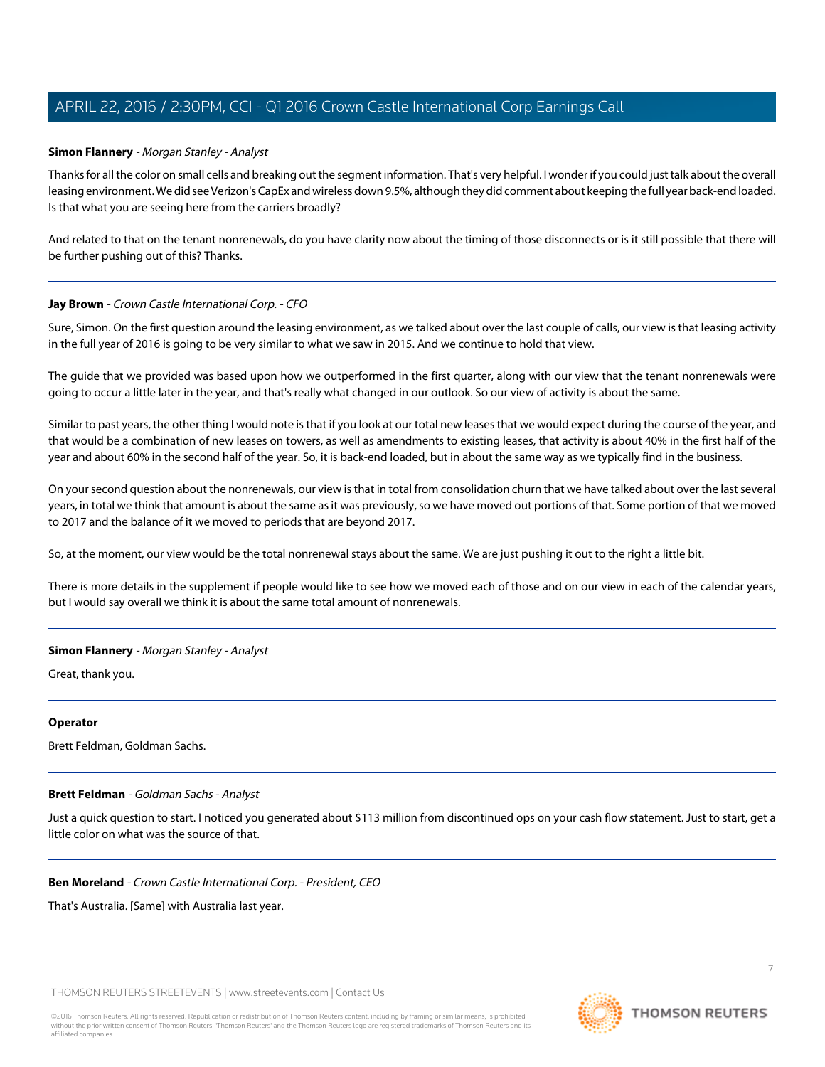# <span id="page-6-0"></span>**Simon Flannery** - Morgan Stanley - Analyst

Thanks for all the color on small cells and breaking out the segment information. That's very helpful. I wonder if you could just talk about the overall leasing environment. We did see Verizon's CapEx and wireless down 9.5%, although they did comment about keeping the full year back-end loaded. Is that what you are seeing here from the carriers broadly?

And related to that on the tenant nonrenewals, do you have clarity now about the timing of those disconnects or is it still possible that there will be further pushing out of this? Thanks.

### **Jay Brown** - Crown Castle International Corp. - CFO

Sure, Simon. On the first question around the leasing environment, as we talked about over the last couple of calls, our view is that leasing activity in the full year of 2016 is going to be very similar to what we saw in 2015. And we continue to hold that view.

The guide that we provided was based upon how we outperformed in the first quarter, along with our view that the tenant nonrenewals were going to occur a little later in the year, and that's really what changed in our outlook. So our view of activity is about the same.

Similar to past years, the other thing I would note is that if you look at our total new leases that we would expect during the course of the year, and that would be a combination of new leases on towers, as well as amendments to existing leases, that activity is about 40% in the first half of the year and about 60% in the second half of the year. So, it is back-end loaded, but in about the same way as we typically find in the business.

On your second question about the nonrenewals, our view is that in total from consolidation churn that we have talked about over the last several years, in total we think that amount is about the same as it was previously, so we have moved out portions of that. Some portion of that we moved to 2017 and the balance of it we moved to periods that are beyond 2017.

So, at the moment, our view would be the total nonrenewal stays about the same. We are just pushing it out to the right a little bit.

There is more details in the supplement if people would like to see how we moved each of those and on our view in each of the calendar years, but I would say overall we think it is about the same total amount of nonrenewals.

### **Simon Flannery** - Morgan Stanley - Analyst

Great, thank you.

### <span id="page-6-1"></span>**Operator**

Brett Feldman, Goldman Sachs.

### **Brett Feldman** - Goldman Sachs - Analyst

Just a quick question to start. I noticed you generated about \$113 million from discontinued ops on your cash flow statement. Just to start, get a little color on what was the source of that.

### **Ben Moreland** - Crown Castle International Corp. - President, CEO

That's Australia. [Same] with Australia last year.

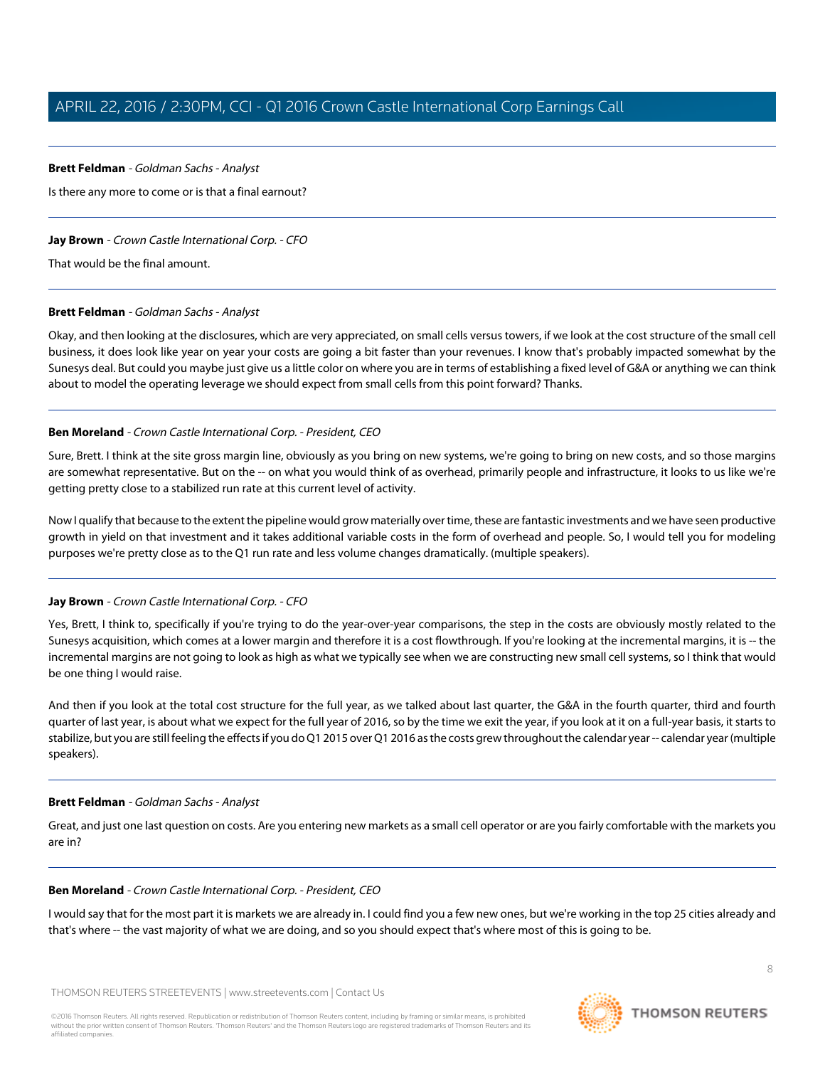### **Brett Feldman** - Goldman Sachs - Analyst

Is there any more to come or is that a final earnout?

# **Jay Brown** - Crown Castle International Corp. - CFO

That would be the final amount.

# **Brett Feldman** - Goldman Sachs - Analyst

Okay, and then looking at the disclosures, which are very appreciated, on small cells versus towers, if we look at the cost structure of the small cell business, it does look like year on year your costs are going a bit faster than your revenues. I know that's probably impacted somewhat by the Sunesys deal. But could you maybe just give us a little color on where you are in terms of establishing a fixed level of G&A or anything we can think about to model the operating leverage we should expect from small cells from this point forward? Thanks.

# **Ben Moreland** - Crown Castle International Corp. - President, CEO

Sure, Brett. I think at the site gross margin line, obviously as you bring on new systems, we're going to bring on new costs, and so those margins are somewhat representative. But on the -- on what you would think of as overhead, primarily people and infrastructure, it looks to us like we're getting pretty close to a stabilized run rate at this current level of activity.

Now I qualify that because to the extent the pipeline would grow materially over time, these are fantastic investments and we have seen productive growth in yield on that investment and it takes additional variable costs in the form of overhead and people. So, I would tell you for modeling purposes we're pretty close as to the Q1 run rate and less volume changes dramatically. (multiple speakers).

# **Jay Brown** - Crown Castle International Corp. - CFO

Yes, Brett, I think to, specifically if you're trying to do the year-over-year comparisons, the step in the costs are obviously mostly related to the Sunesys acquisition, which comes at a lower margin and therefore it is a cost flowthrough. If you're looking at the incremental margins, it is -- the incremental margins are not going to look as high as what we typically see when we are constructing new small cell systems, so I think that would be one thing I would raise.

And then if you look at the total cost structure for the full year, as we talked about last quarter, the G&A in the fourth quarter, third and fourth quarter of last year, is about what we expect for the full year of 2016, so by the time we exit the year, if you look at it on a full-year basis, it starts to stabilize, but you are still feeling the effects if you do Q1 2015 over Q1 2016 as the costs grew throughout the calendar year -- calendar year (multiple speakers).

### **Brett Feldman** - Goldman Sachs - Analyst

Great, and just one last question on costs. Are you entering new markets as a small cell operator or are you fairly comfortable with the markets you are in?

### **Ben Moreland** - Crown Castle International Corp. - President, CEO

I would say that for the most part it is markets we are already in. I could find you a few new ones, but we're working in the top 25 cities already and that's where -- the vast majority of what we are doing, and so you should expect that's where most of this is going to be.

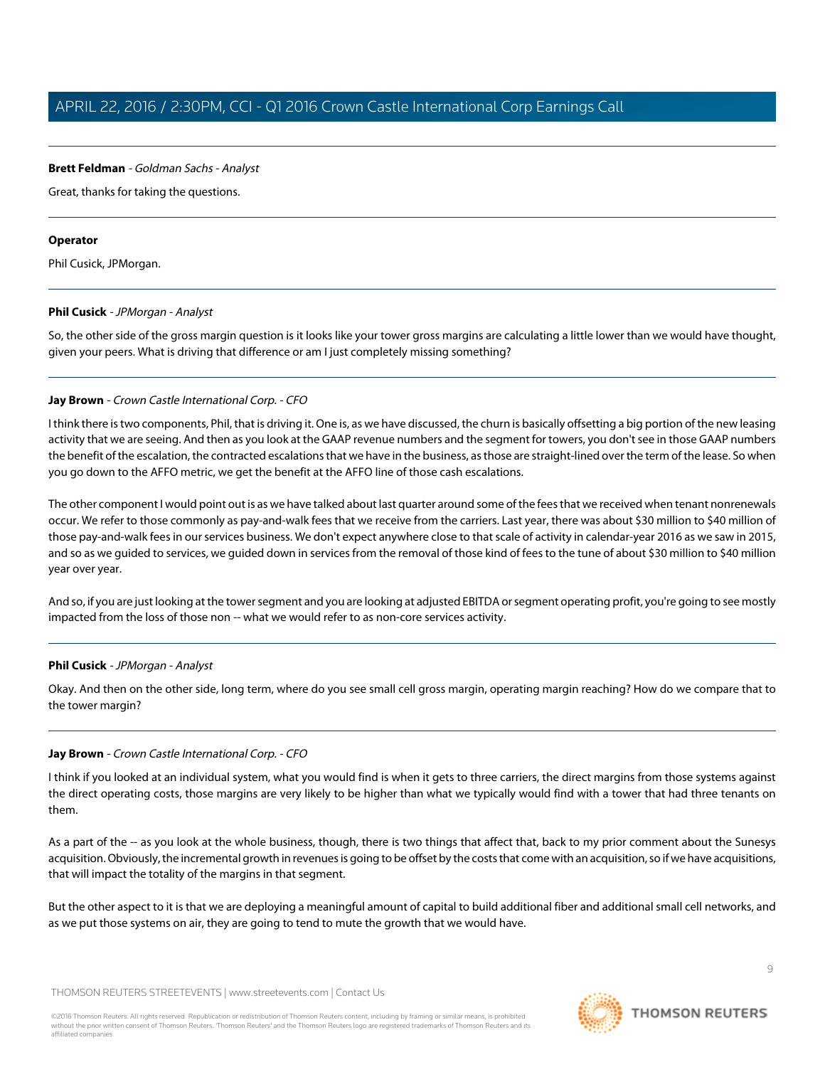### **Brett Feldman** - Goldman Sachs - Analyst

Great, thanks for taking the questions.

### **Operator**

<span id="page-8-0"></span>Phil Cusick, JPMorgan.

### **Phil Cusick** - JPMorgan - Analyst

So, the other side of the gross margin question is it looks like your tower gross margins are calculating a little lower than we would have thought, given your peers. What is driving that difference or am I just completely missing something?

### **Jay Brown** - Crown Castle International Corp. - CFO

I think there is two components, Phil, that is driving it. One is, as we have discussed, the churn is basically offsetting a big portion of the new leasing activity that we are seeing. And then as you look at the GAAP revenue numbers and the segment for towers, you don't see in those GAAP numbers the benefit of the escalation, the contracted escalations that we have in the business, as those are straight-lined over the term of the lease. So when you go down to the AFFO metric, we get the benefit at the AFFO line of those cash escalations.

The other component I would point out is as we have talked about last quarter around some of the fees that we received when tenant nonrenewals occur. We refer to those commonly as pay-and-walk fees that we receive from the carriers. Last year, there was about \$30 million to \$40 million of those pay-and-walk fees in our services business. We don't expect anywhere close to that scale of activity in calendar-year 2016 as we saw in 2015, and so as we guided to services, we guided down in services from the removal of those kind of fees to the tune of about \$30 million to \$40 million year over year.

And so, if you are just looking at the tower segment and you are looking at adjusted EBITDA or segment operating profit, you're going to see mostly impacted from the loss of those non -- what we would refer to as non-core services activity.

### **Phil Cusick** - JPMorgan - Analyst

Okay. And then on the other side, long term, where do you see small cell gross margin, operating margin reaching? How do we compare that to the tower margin?

# **Jay Brown** - Crown Castle International Corp. - CFO

I think if you looked at an individual system, what you would find is when it gets to three carriers, the direct margins from those systems against the direct operating costs, those margins are very likely to be higher than what we typically would find with a tower that had three tenants on them.

As a part of the -- as you look at the whole business, though, there is two things that affect that, back to my prior comment about the Sunesys acquisition. Obviously, the incremental growth in revenues is going to be offset by the costs that come with an acquisition, so if we have acquisitions, that will impact the totality of the margins in that segment.

But the other aspect to it is that we are deploying a meaningful amount of capital to build additional fiber and additional small cell networks, and as we put those systems on air, they are going to tend to mute the growth that we would have.

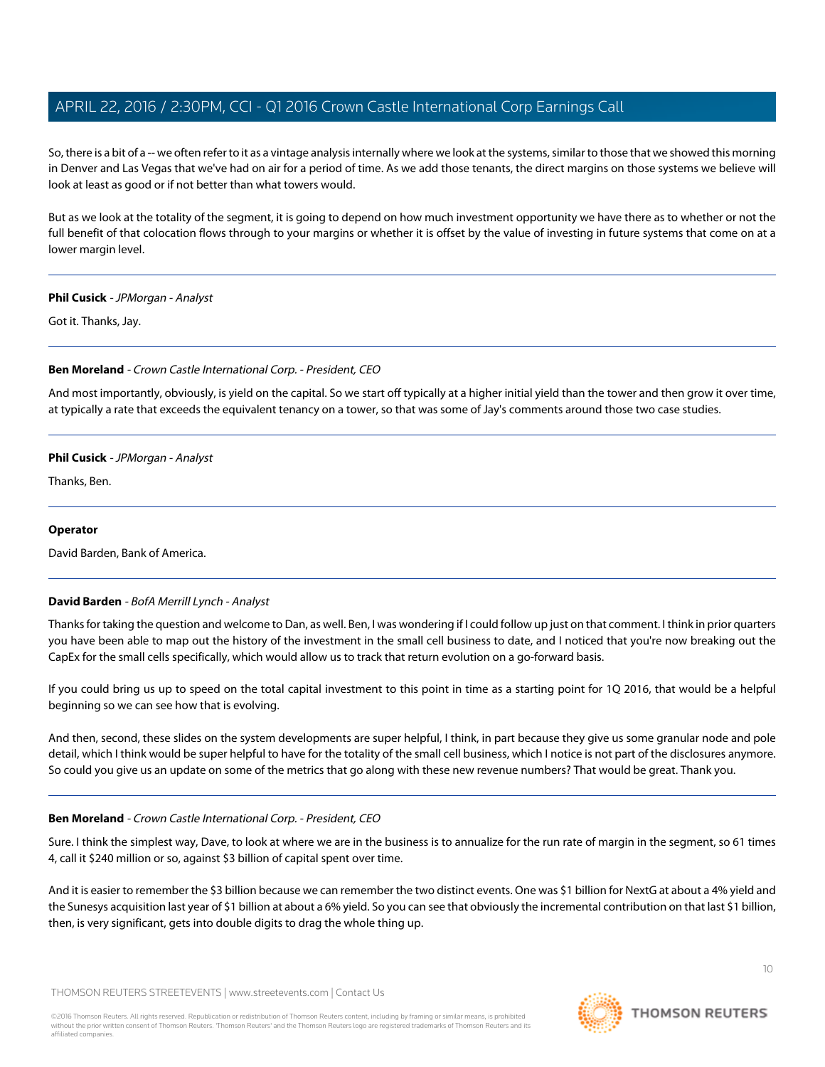So, there is a bit of a -- we often refer to it as a vintage analysis internally where we look at the systems, similar to those that we showed this morning in Denver and Las Vegas that we've had on air for a period of time. As we add those tenants, the direct margins on those systems we believe will look at least as good or if not better than what towers would.

But as we look at the totality of the segment, it is going to depend on how much investment opportunity we have there as to whether or not the full benefit of that colocation flows through to your margins or whether it is offset by the value of investing in future systems that come on at a lower margin level.

### **Phil Cusick** - JPMorgan - Analyst

Got it. Thanks, Jay.

### **Ben Moreland** - Crown Castle International Corp. - President, CEO

And most importantly, obviously, is yield on the capital. So we start off typically at a higher initial yield than the tower and then grow it over time, at typically a rate that exceeds the equivalent tenancy on a tower, so that was some of Jay's comments around those two case studies.

### **Phil Cusick** - JPMorgan - Analyst

Thanks, Ben.

### <span id="page-9-0"></span>**Operator**

David Barden, Bank of America.

# **David Barden** - BofA Merrill Lynch - Analyst

Thanks for taking the question and welcome to Dan, as well. Ben, I was wondering if I could follow up just on that comment. I think in prior quarters you have been able to map out the history of the investment in the small cell business to date, and I noticed that you're now breaking out the CapEx for the small cells specifically, which would allow us to track that return evolution on a go-forward basis.

If you could bring us up to speed on the total capital investment to this point in time as a starting point for 1Q 2016, that would be a helpful beginning so we can see how that is evolving.

And then, second, these slides on the system developments are super helpful, I think, in part because they give us some granular node and pole detail, which I think would be super helpful to have for the totality of the small cell business, which I notice is not part of the disclosures anymore. So could you give us an update on some of the metrics that go along with these new revenue numbers? That would be great. Thank you.

### **Ben Moreland** - Crown Castle International Corp. - President, CEO

Sure. I think the simplest way, Dave, to look at where we are in the business is to annualize for the run rate of margin in the segment, so 61 times 4, call it \$240 million or so, against \$3 billion of capital spent over time.

And it is easier to remember the \$3 billion because we can remember the two distinct events. One was \$1 billion for NextG at about a 4% yield and the Sunesys acquisition last year of \$1 billion at about a 6% yield. So you can see that obviously the incremental contribution on that last \$1 billion, then, is very significant, gets into double digits to drag the whole thing up.

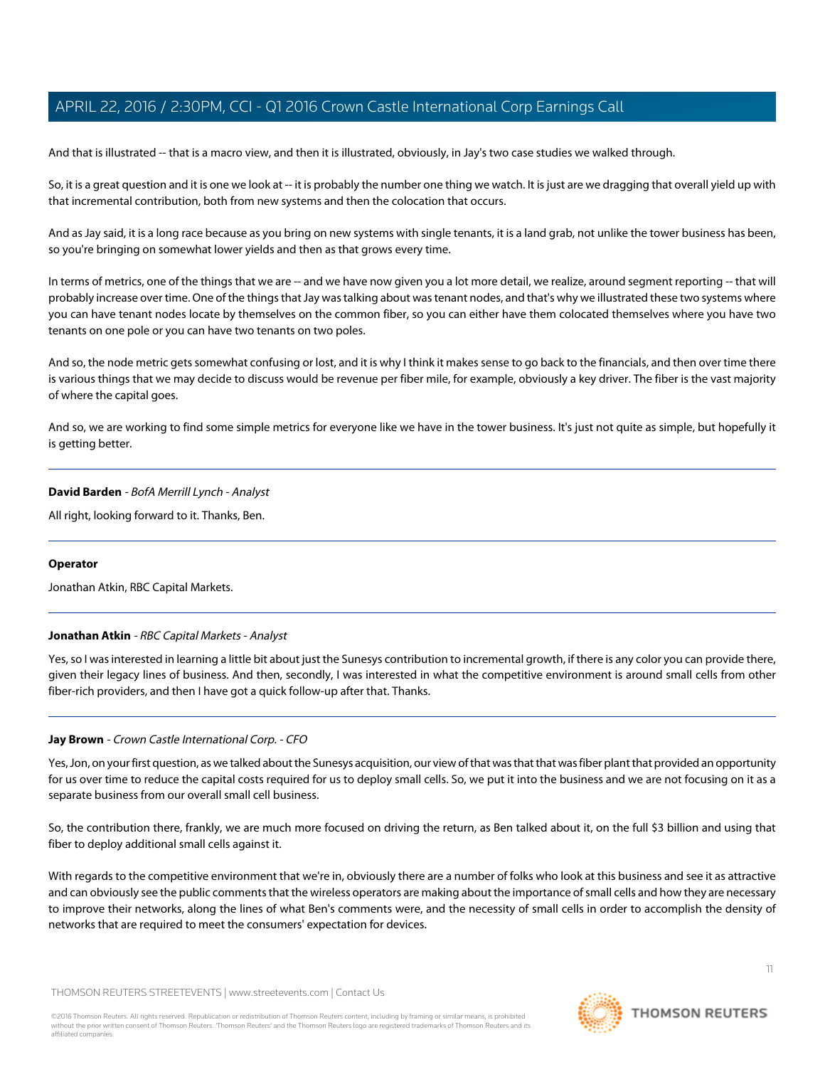And that is illustrated -- that is a macro view, and then it is illustrated, obviously, in Jay's two case studies we walked through.

So, it is a great question and it is one we look at -- it is probably the number one thing we watch. It is just are we dragging that overall yield up with that incremental contribution, both from new systems and then the colocation that occurs.

And as Jay said, it is a long race because as you bring on new systems with single tenants, it is a land grab, not unlike the tower business has been, so you're bringing on somewhat lower yields and then as that grows every time.

In terms of metrics, one of the things that we are -- and we have now given you a lot more detail, we realize, around segment reporting -- that will probably increase over time. One of the things that Jay was talking about was tenant nodes, and that's why we illustrated these two systems where you can have tenant nodes locate by themselves on the common fiber, so you can either have them colocated themselves where you have two tenants on one pole or you can have two tenants on two poles.

And so, the node metric gets somewhat confusing or lost, and it is why I think it makes sense to go back to the financials, and then over time there is various things that we may decide to discuss would be revenue per fiber mile, for example, obviously a key driver. The fiber is the vast majority of where the capital goes.

And so, we are working to find some simple metrics for everyone like we have in the tower business. It's just not quite as simple, but hopefully it is getting better.

### **David Barden** - BofA Merrill Lynch - Analyst

All right, looking forward to it. Thanks, Ben.

# <span id="page-10-0"></span>**Operator**

Jonathan Atkin, RBC Capital Markets.

# **Jonathan Atkin** - RBC Capital Markets - Analyst

Yes, so I was interested in learning a little bit about just the Sunesys contribution to incremental growth, if there is any color you can provide there, given their legacy lines of business. And then, secondly, I was interested in what the competitive environment is around small cells from other fiber-rich providers, and then I have got a quick follow-up after that. Thanks.

# **Jay Brown** - Crown Castle International Corp. - CFO

Yes, Jon, on your first question, as we talked about the Sunesys acquisition, our view of that was that that was fiber plant that provided an opportunity for us over time to reduce the capital costs required for us to deploy small cells. So, we put it into the business and we are not focusing on it as a separate business from our overall small cell business.

So, the contribution there, frankly, we are much more focused on driving the return, as Ben talked about it, on the full \$3 billion and using that fiber to deploy additional small cells against it.

With regards to the competitive environment that we're in, obviously there are a number of folks who look at this business and see it as attractive and can obviously see the public comments that the wireless operators are making about the importance of small cells and how they are necessary to improve their networks, along the lines of what Ben's comments were, and the necessity of small cells in order to accomplish the density of networks that are required to meet the consumers' expectation for devices.

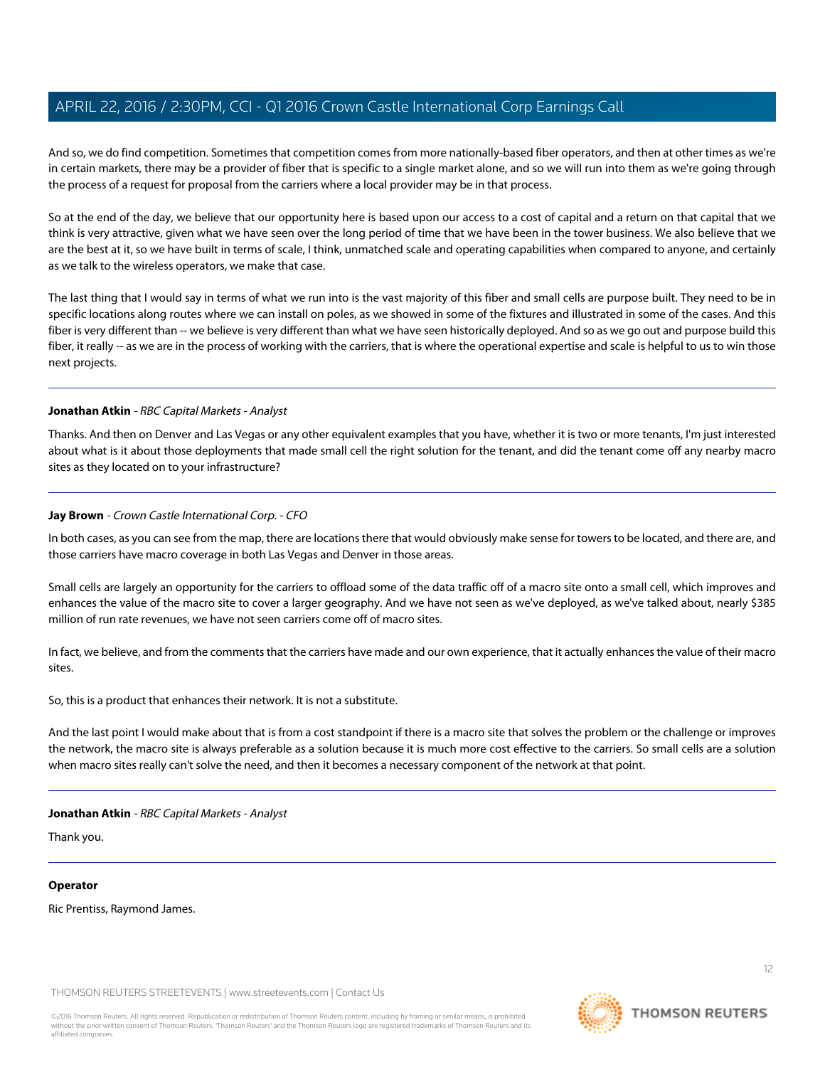And so, we do find competition. Sometimes that competition comes from more nationally-based fiber operators, and then at other times as we're in certain markets, there may be a provider of fiber that is specific to a single market alone, and so we will run into them as we're going through the process of a request for proposal from the carriers where a local provider may be in that process.

So at the end of the day, we believe that our opportunity here is based upon our access to a cost of capital and a return on that capital that we think is very attractive, given what we have seen over the long period of time that we have been in the tower business. We also believe that we are the best at it, so we have built in terms of scale, I think, unmatched scale and operating capabilities when compared to anyone, and certainly as we talk to the wireless operators, we make that case.

The last thing that I would say in terms of what we run into is the vast majority of this fiber and small cells are purpose built. They need to be in specific locations along routes where we can install on poles, as we showed in some of the fixtures and illustrated in some of the cases. And this fiber is very different than -- we believe is very different than what we have seen historically deployed. And so as we go out and purpose build this fiber, it really -- as we are in the process of working with the carriers, that is where the operational expertise and scale is helpful to us to win those next projects.

### **Jonathan Atkin** - RBC Capital Markets - Analyst

Thanks. And then on Denver and Las Vegas or any other equivalent examples that you have, whether it is two or more tenants, I'm just interested about what is it about those deployments that made small cell the right solution for the tenant, and did the tenant come off any nearby macro sites as they located on to your infrastructure?

### **Jay Brown** - Crown Castle International Corp. - CFO

In both cases, as you can see from the map, there are locations there that would obviously make sense for towers to be located, and there are, and those carriers have macro coverage in both Las Vegas and Denver in those areas.

Small cells are largely an opportunity for the carriers to offload some of the data traffic off of a macro site onto a small cell, which improves and enhances the value of the macro site to cover a larger geography. And we have not seen as we've deployed, as we've talked about, nearly \$385 million of run rate revenues, we have not seen carriers come off of macro sites.

In fact, we believe, and from the comments that the carriers have made and our own experience, that it actually enhances the value of their macro sites.

So, this is a product that enhances their network. It is not a substitute.

And the last point I would make about that is from a cost standpoint if there is a macro site that solves the problem or the challenge or improves the network, the macro site is always preferable as a solution because it is much more cost effective to the carriers. So small cells are a solution when macro sites really can't solve the need, and then it becomes a necessary component of the network at that point.

### **Jonathan Atkin** - RBC Capital Markets - Analyst

Thank you.

### **Operator**

Ric Prentiss, Raymond James.

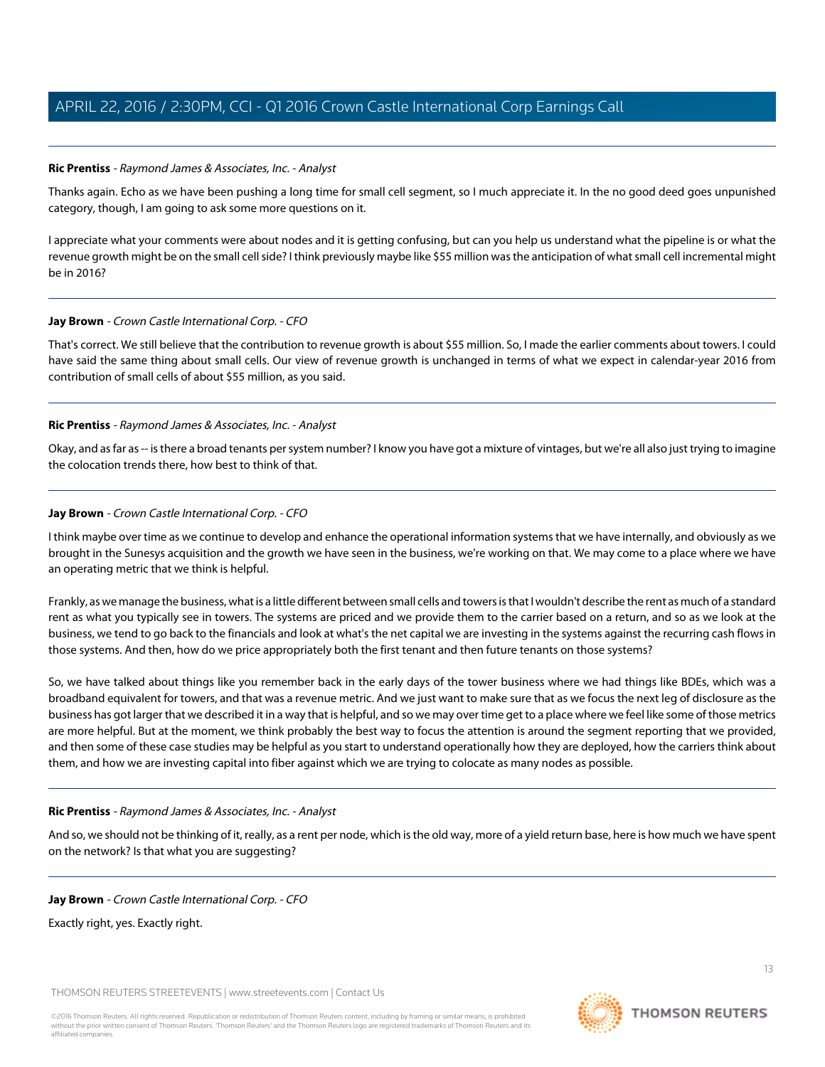### <span id="page-12-0"></span>**Ric Prentiss** - Raymond James & Associates, Inc. - Analyst

Thanks again. Echo as we have been pushing a long time for small cell segment, so I much appreciate it. In the no good deed goes unpunished category, though, I am going to ask some more questions on it.

I appreciate what your comments were about nodes and it is getting confusing, but can you help us understand what the pipeline is or what the revenue growth might be on the small cell side? I think previously maybe like \$55 million was the anticipation of what small cell incremental might be in 2016?

### **Jay Brown** - Crown Castle International Corp. - CFO

That's correct. We still believe that the contribution to revenue growth is about \$55 million. So, I made the earlier comments about towers. I could have said the same thing about small cells. Our view of revenue growth is unchanged in terms of what we expect in calendar-year 2016 from contribution of small cells of about \$55 million, as you said.

### **Ric Prentiss** - Raymond James & Associates, Inc. - Analyst

Okay, and as far as -- is there a broad tenants per system number? I know you have got a mixture of vintages, but we're all also just trying to imagine the colocation trends there, how best to think of that.

# **Jay Brown** - Crown Castle International Corp. - CFO

I think maybe over time as we continue to develop and enhance the operational information systems that we have internally, and obviously as we brought in the Sunesys acquisition and the growth we have seen in the business, we're working on that. We may come to a place where we have an operating metric that we think is helpful.

Frankly, as we manage the business, what is a little different between small cells and towers is that I wouldn't describe the rent as much of a standard rent as what you typically see in towers. The systems are priced and we provide them to the carrier based on a return, and so as we look at the business, we tend to go back to the financials and look at what's the net capital we are investing in the systems against the recurring cash flows in those systems. And then, how do we price appropriately both the first tenant and then future tenants on those systems?

So, we have talked about things like you remember back in the early days of the tower business where we had things like BDEs, which was a broadband equivalent for towers, and that was a revenue metric. And we just want to make sure that as we focus the next leg of disclosure as the business has got larger that we described it in a way that is helpful, and so we may over time get to a place where we feel like some of those metrics are more helpful. But at the moment, we think probably the best way to focus the attention is around the segment reporting that we provided, and then some of these case studies may be helpful as you start to understand operationally how they are deployed, how the carriers think about them, and how we are investing capital into fiber against which we are trying to colocate as many nodes as possible.

# **Ric Prentiss** - Raymond James & Associates, Inc. - Analyst

And so, we should not be thinking of it, really, as a rent per node, which is the old way, more of a yield return base, here is how much we have spent on the network? Is that what you are suggesting?

### **Jay Brown** - Crown Castle International Corp. - CFO

Exactly right, yes. Exactly right.

THOMSON REUTERS STREETEVENTS | [www.streetevents.com](http://www.streetevents.com) | [Contact Us](http://www010.streetevents.com/contact.asp)

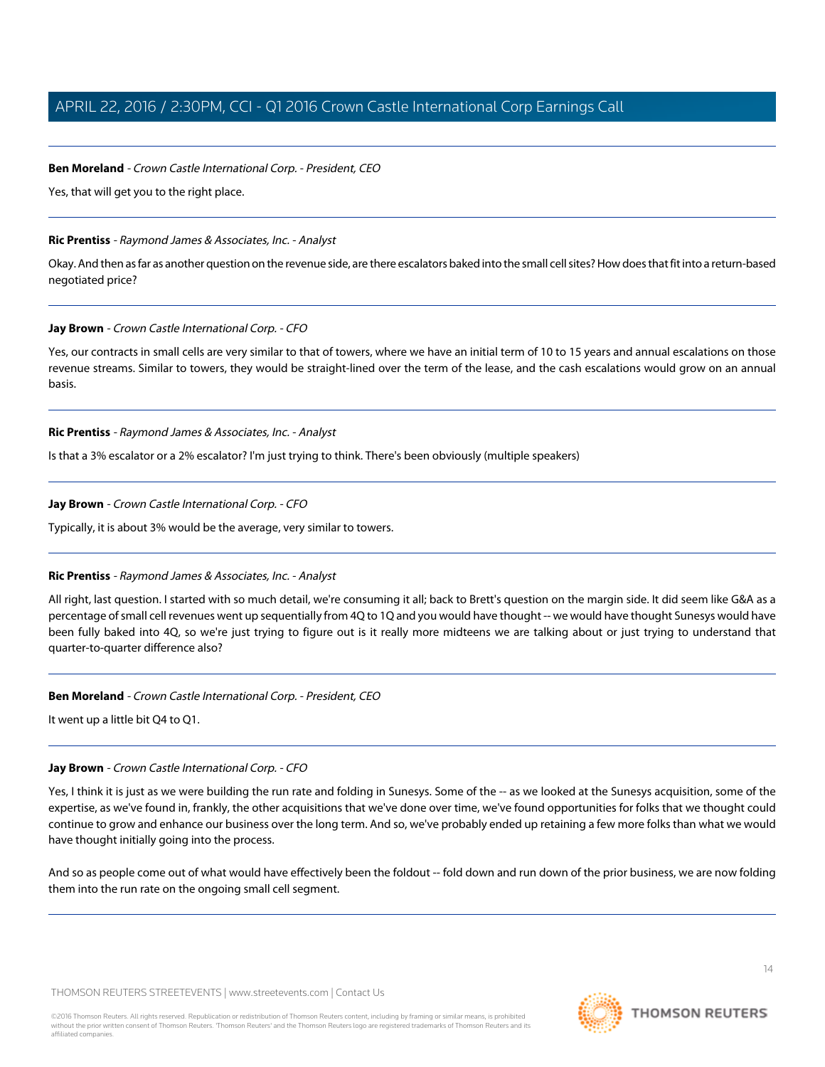# **Ben Moreland** - Crown Castle International Corp. - President, CEO

Yes, that will get you to the right place.

### **Ric Prentiss** - Raymond James & Associates, Inc. - Analyst

Okay. And then as far as another question on the revenue side, are there escalators baked into the small cell sites? How does that fit into a return-based negotiated price?

### **Jay Brown** - Crown Castle International Corp. - CFO

Yes, our contracts in small cells are very similar to that of towers, where we have an initial term of 10 to 15 years and annual escalations on those revenue streams. Similar to towers, they would be straight-lined over the term of the lease, and the cash escalations would grow on an annual basis.

### **Ric Prentiss** - Raymond James & Associates, Inc. - Analyst

Is that a 3% escalator or a 2% escalator? I'm just trying to think. There's been obviously (multiple speakers)

### **Jay Brown** - Crown Castle International Corp. - CFO

Typically, it is about 3% would be the average, very similar to towers.

# **Ric Prentiss** - Raymond James & Associates, Inc. - Analyst

All right, last question. I started with so much detail, we're consuming it all; back to Brett's question on the margin side. It did seem like G&A as a percentage of small cell revenues went up sequentially from 4Q to 1Q and you would have thought -- we would have thought Sunesys would have been fully baked into 4Q, so we're just trying to figure out is it really more midteens we are talking about or just trying to understand that quarter-to-quarter difference also?

### **Ben Moreland** - Crown Castle International Corp. - President, CEO

It went up a little bit Q4 to Q1.

# **Jay Brown** - Crown Castle International Corp. - CFO

Yes, I think it is just as we were building the run rate and folding in Sunesys. Some of the -- as we looked at the Sunesys acquisition, some of the expertise, as we've found in, frankly, the other acquisitions that we've done over time, we've found opportunities for folks that we thought could continue to grow and enhance our business over the long term. And so, we've probably ended up retaining a few more folks than what we would have thought initially going into the process.

And so as people come out of what would have effectively been the foldout -- fold down and run down of the prior business, we are now folding them into the run rate on the ongoing small cell segment.

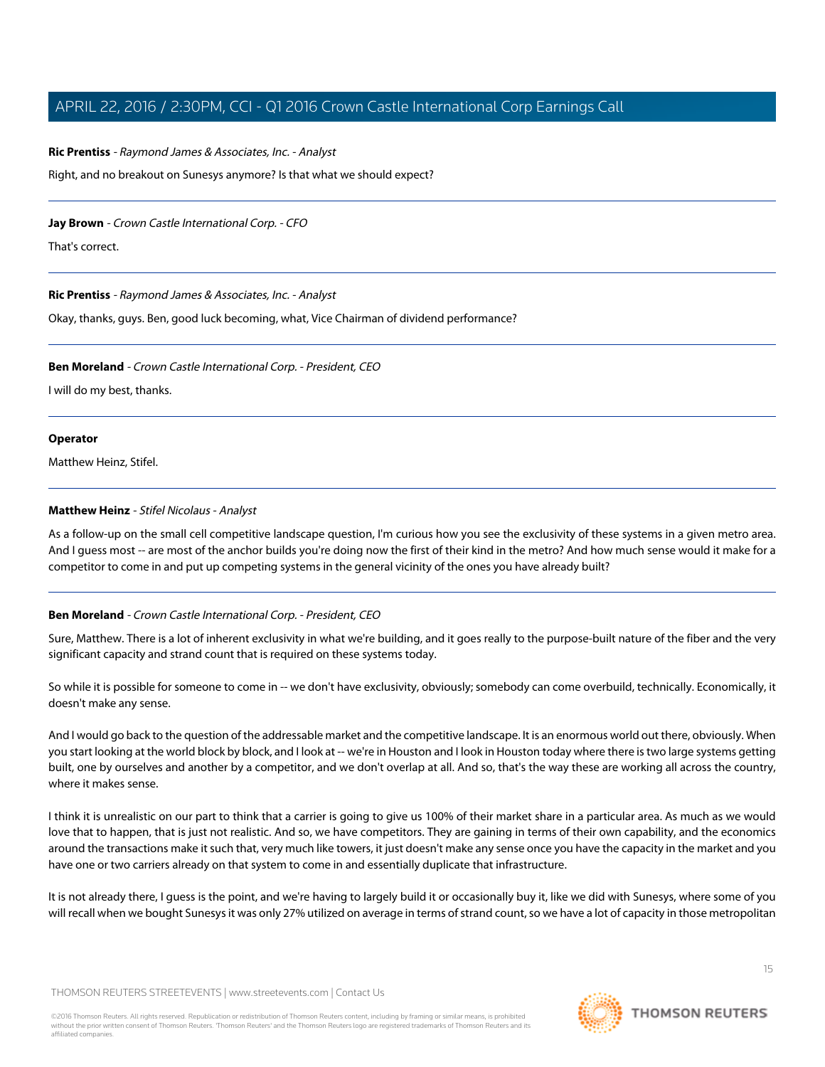### **Ric Prentiss** - Raymond James & Associates, Inc. - Analyst

Right, and no breakout on Sunesys anymore? Is that what we should expect?

### **Jay Brown** - Crown Castle International Corp. - CFO

That's correct.

### **Ric Prentiss** - Raymond James & Associates, Inc. - Analyst

Okay, thanks, guys. Ben, good luck becoming, what, Vice Chairman of dividend performance?

### **Ben Moreland** - Crown Castle International Corp. - President, CEO

I will do my best, thanks.

### **Operator**

<span id="page-14-0"></span>Matthew Heinz, Stifel.

### **Matthew Heinz** - Stifel Nicolaus - Analyst

As a follow-up on the small cell competitive landscape question, I'm curious how you see the exclusivity of these systems in a given metro area. And I guess most -- are most of the anchor builds you're doing now the first of their kind in the metro? And how much sense would it make for a competitor to come in and put up competing systems in the general vicinity of the ones you have already built?

# **Ben Moreland** - Crown Castle International Corp. - President, CEO

Sure, Matthew. There is a lot of inherent exclusivity in what we're building, and it goes really to the purpose-built nature of the fiber and the very significant capacity and strand count that is required on these systems today.

So while it is possible for someone to come in -- we don't have exclusivity, obviously; somebody can come overbuild, technically. Economically, it doesn't make any sense.

And I would go back to the question of the addressable market and the competitive landscape. It is an enormous world out there, obviously. When you start looking at the world block by block, and I look at -- we're in Houston and I look in Houston today where there is two large systems getting built, one by ourselves and another by a competitor, and we don't overlap at all. And so, that's the way these are working all across the country, where it makes sense.

I think it is unrealistic on our part to think that a carrier is going to give us 100% of their market share in a particular area. As much as we would love that to happen, that is just not realistic. And so, we have competitors. They are gaining in terms of their own capability, and the economics around the transactions make it such that, very much like towers, it just doesn't make any sense once you have the capacity in the market and you have one or two carriers already on that system to come in and essentially duplicate that infrastructure.

It is not already there, I guess is the point, and we're having to largely build it or occasionally buy it, like we did with Sunesys, where some of you will recall when we bought Sunesys it was only 27% utilized on average in terms of strand count, so we have a lot of capacity in those metropolitan

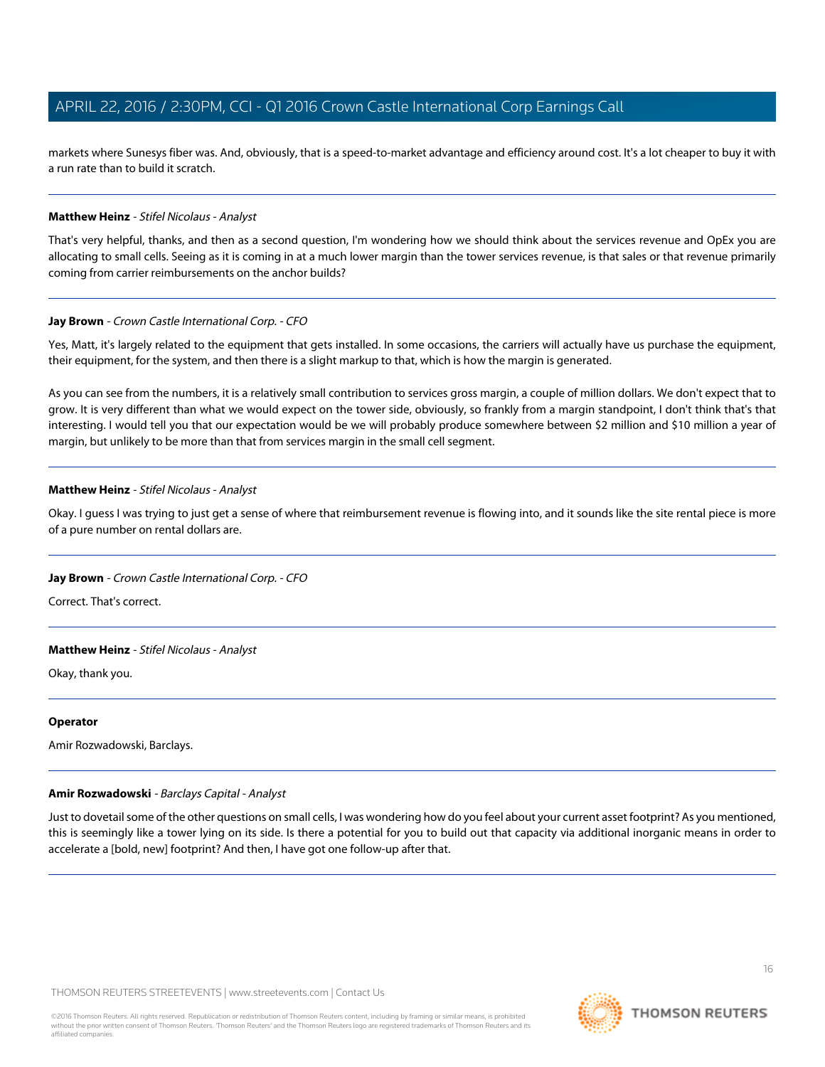markets where Sunesys fiber was. And, obviously, that is a speed-to-market advantage and efficiency around cost. It's a lot cheaper to buy it with a run rate than to build it scratch.

### **Matthew Heinz** - Stifel Nicolaus - Analyst

That's very helpful, thanks, and then as a second question, I'm wondering how we should think about the services revenue and OpEx you are allocating to small cells. Seeing as it is coming in at a much lower margin than the tower services revenue, is that sales or that revenue primarily coming from carrier reimbursements on the anchor builds?

### **Jay Brown** - Crown Castle International Corp. - CFO

Yes, Matt, it's largely related to the equipment that gets installed. In some occasions, the carriers will actually have us purchase the equipment, their equipment, for the system, and then there is a slight markup to that, which is how the margin is generated.

As you can see from the numbers, it is a relatively small contribution to services gross margin, a couple of million dollars. We don't expect that to grow. It is very different than what we would expect on the tower side, obviously, so frankly from a margin standpoint, I don't think that's that interesting. I would tell you that our expectation would be we will probably produce somewhere between \$2 million and \$10 million a year of margin, but unlikely to be more than that from services margin in the small cell segment.

### **Matthew Heinz** - Stifel Nicolaus - Analyst

Okay. I guess I was trying to just get a sense of where that reimbursement revenue is flowing into, and it sounds like the site rental piece is more of a pure number on rental dollars are.

### **Jay Brown** - Crown Castle International Corp. - CFO

Correct. That's correct.

### **Matthew Heinz** - Stifel Nicolaus - Analyst

Okay, thank you.

### <span id="page-15-0"></span>**Operator**

Amir Rozwadowski, Barclays.

# **Amir Rozwadowski** - Barclays Capital - Analyst

Just to dovetail some of the other questions on small cells, I was wondering how do you feel about your current asset footprint? As you mentioned, this is seemingly like a tower lying on its side. Is there a potential for you to build out that capacity via additional inorganic means in order to accelerate a [bold, new] footprint? And then, I have got one follow-up after that.

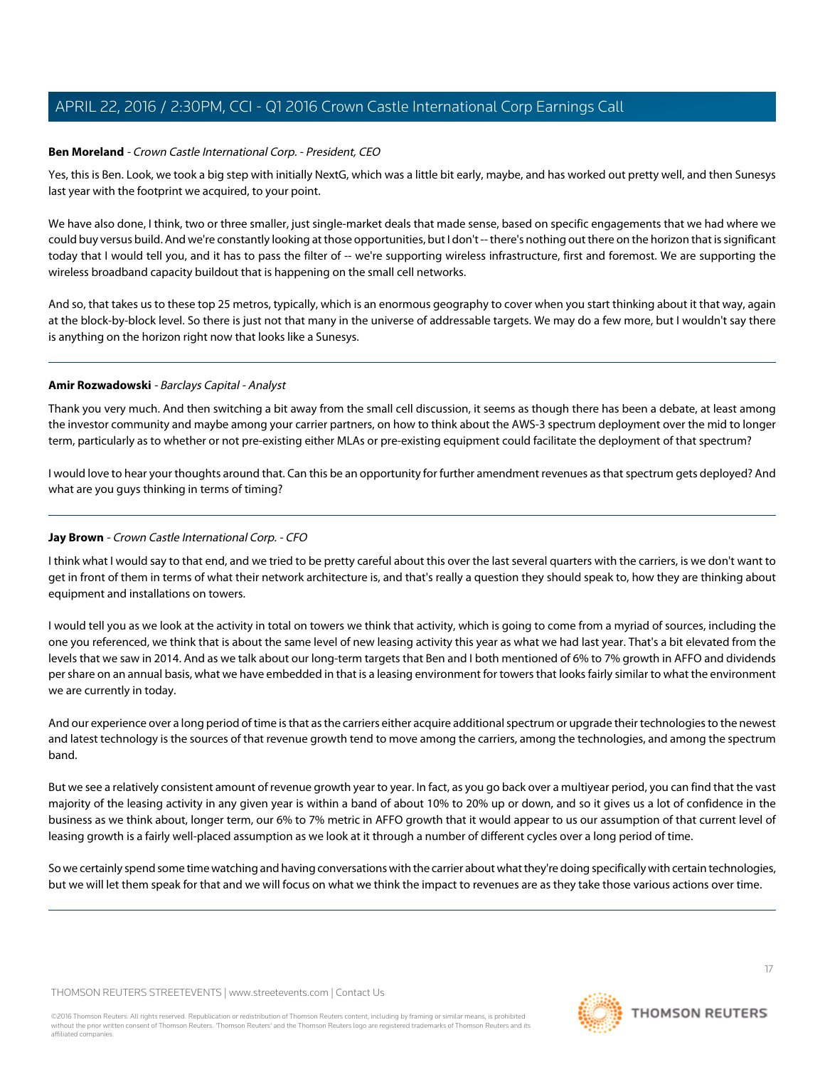# **Ben Moreland** - Crown Castle International Corp. - President, CEO

Yes, this is Ben. Look, we took a big step with initially NextG, which was a little bit early, maybe, and has worked out pretty well, and then Sunesys last year with the footprint we acquired, to your point.

We have also done, I think, two or three smaller, just single-market deals that made sense, based on specific engagements that we had where we could buy versus build. And we're constantly looking at those opportunities, but I don't -- there's nothing out there on the horizon that is significant today that I would tell you, and it has to pass the filter of -- we're supporting wireless infrastructure, first and foremost. We are supporting the wireless broadband capacity buildout that is happening on the small cell networks.

And so, that takes us to these top 25 metros, typically, which is an enormous geography to cover when you start thinking about it that way, again at the block-by-block level. So there is just not that many in the universe of addressable targets. We may do a few more, but I wouldn't say there is anything on the horizon right now that looks like a Sunesys.

### **Amir Rozwadowski** - Barclays Capital - Analyst

Thank you very much. And then switching a bit away from the small cell discussion, it seems as though there has been a debate, at least among the investor community and maybe among your carrier partners, on how to think about the AWS-3 spectrum deployment over the mid to longer term, particularly as to whether or not pre-existing either MLAs or pre-existing equipment could facilitate the deployment of that spectrum?

I would love to hear your thoughts around that. Can this be an opportunity for further amendment revenues as that spectrum gets deployed? And what are you guys thinking in terms of timing?

### **Jay Brown** - Crown Castle International Corp. - CFO

I think what I would say to that end, and we tried to be pretty careful about this over the last several quarters with the carriers, is we don't want to get in front of them in terms of what their network architecture is, and that's really a question they should speak to, how they are thinking about equipment and installations on towers.

I would tell you as we look at the activity in total on towers we think that activity, which is going to come from a myriad of sources, including the one you referenced, we think that is about the same level of new leasing activity this year as what we had last year. That's a bit elevated from the levels that we saw in 2014. And as we talk about our long-term targets that Ben and I both mentioned of 6% to 7% growth in AFFO and dividends per share on an annual basis, what we have embedded in that is a leasing environment for towers that looks fairly similar to what the environment we are currently in today.

And our experience over a long period of time is that as the carriers either acquire additional spectrum or upgrade their technologies to the newest and latest technology is the sources of that revenue growth tend to move among the carriers, among the technologies, and among the spectrum band.

But we see a relatively consistent amount of revenue growth year to year. In fact, as you go back over a multiyear period, you can find that the vast majority of the leasing activity in any given year is within a band of about 10% to 20% up or down, and so it gives us a lot of confidence in the business as we think about, longer term, our 6% to 7% metric in AFFO growth that it would appear to us our assumption of that current level of leasing growth is a fairly well-placed assumption as we look at it through a number of different cycles over a long period of time.

So we certainly spend some time watching and having conversations with the carrier about what they're doing specifically with certain technologies, but we will let them speak for that and we will focus on what we think the impact to revenues are as they take those various actions over time.

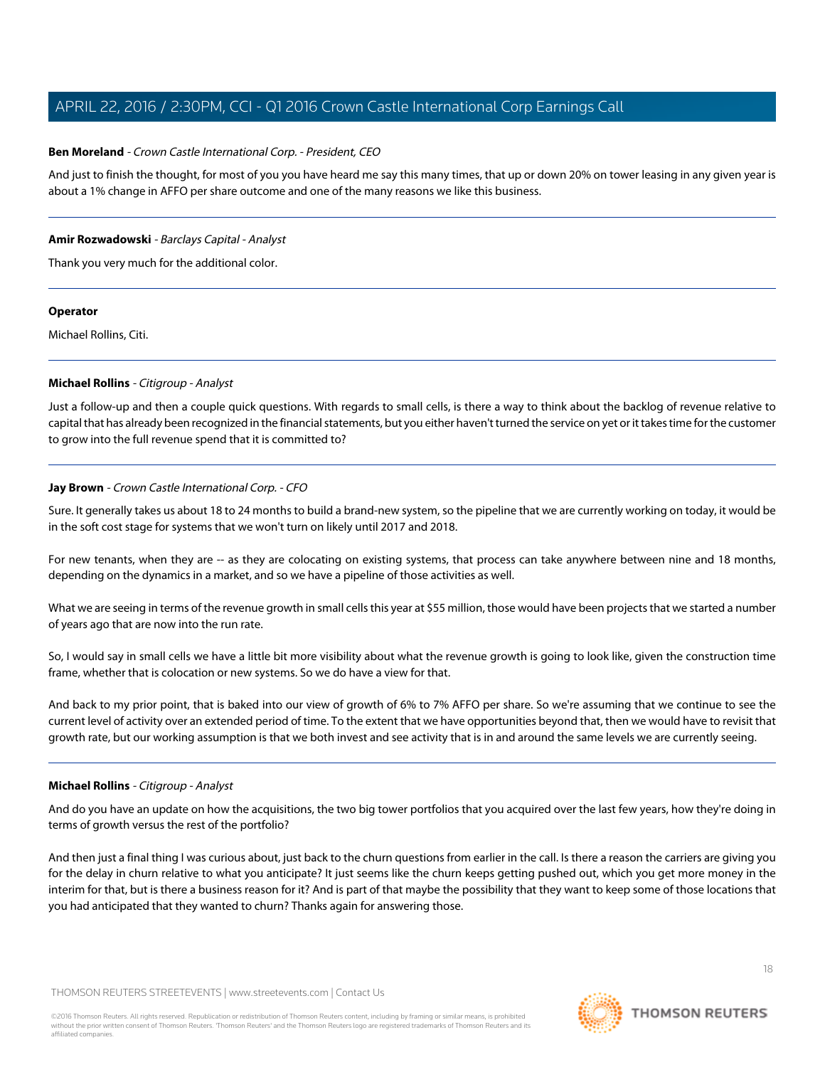### **Ben Moreland** - Crown Castle International Corp. - President, CEO

And just to finish the thought, for most of you you have heard me say this many times, that up or down 20% on tower leasing in any given year is about a 1% change in AFFO per share outcome and one of the many reasons we like this business.

### **Amir Rozwadowski** - Barclays Capital - Analyst

Thank you very much for the additional color.

### **Operator**

<span id="page-17-0"></span>Michael Rollins, Citi.

### **Michael Rollins** - Citigroup - Analyst

Just a follow-up and then a couple quick questions. With regards to small cells, is there a way to think about the backlog of revenue relative to capital that has already been recognized in the financial statements, but you either haven't turned the service on yet or it takes time for the customer to grow into the full revenue spend that it is committed to?

# **Jay Brown** - Crown Castle International Corp. - CFO

Sure. It generally takes us about 18 to 24 months to build a brand-new system, so the pipeline that we are currently working on today, it would be in the soft cost stage for systems that we won't turn on likely until 2017 and 2018.

For new tenants, when they are -- as they are colocating on existing systems, that process can take anywhere between nine and 18 months, depending on the dynamics in a market, and so we have a pipeline of those activities as well.

What we are seeing in terms of the revenue growth in small cells this year at \$55 million, those would have been projects that we started a number of years ago that are now into the run rate.

So, I would say in small cells we have a little bit more visibility about what the revenue growth is going to look like, given the construction time frame, whether that is colocation or new systems. So we do have a view for that.

And back to my prior point, that is baked into our view of growth of 6% to 7% AFFO per share. So we're assuming that we continue to see the current level of activity over an extended period of time. To the extent that we have opportunities beyond that, then we would have to revisit that growth rate, but our working assumption is that we both invest and see activity that is in and around the same levels we are currently seeing.

### **Michael Rollins** - Citigroup - Analyst

And do you have an update on how the acquisitions, the two big tower portfolios that you acquired over the last few years, how they're doing in terms of growth versus the rest of the portfolio?

And then just a final thing I was curious about, just back to the churn questions from earlier in the call. Is there a reason the carriers are giving you for the delay in churn relative to what you anticipate? It just seems like the churn keeps getting pushed out, which you get more money in the interim for that, but is there a business reason for it? And is part of that maybe the possibility that they want to keep some of those locations that you had anticipated that they wanted to churn? Thanks again for answering those.

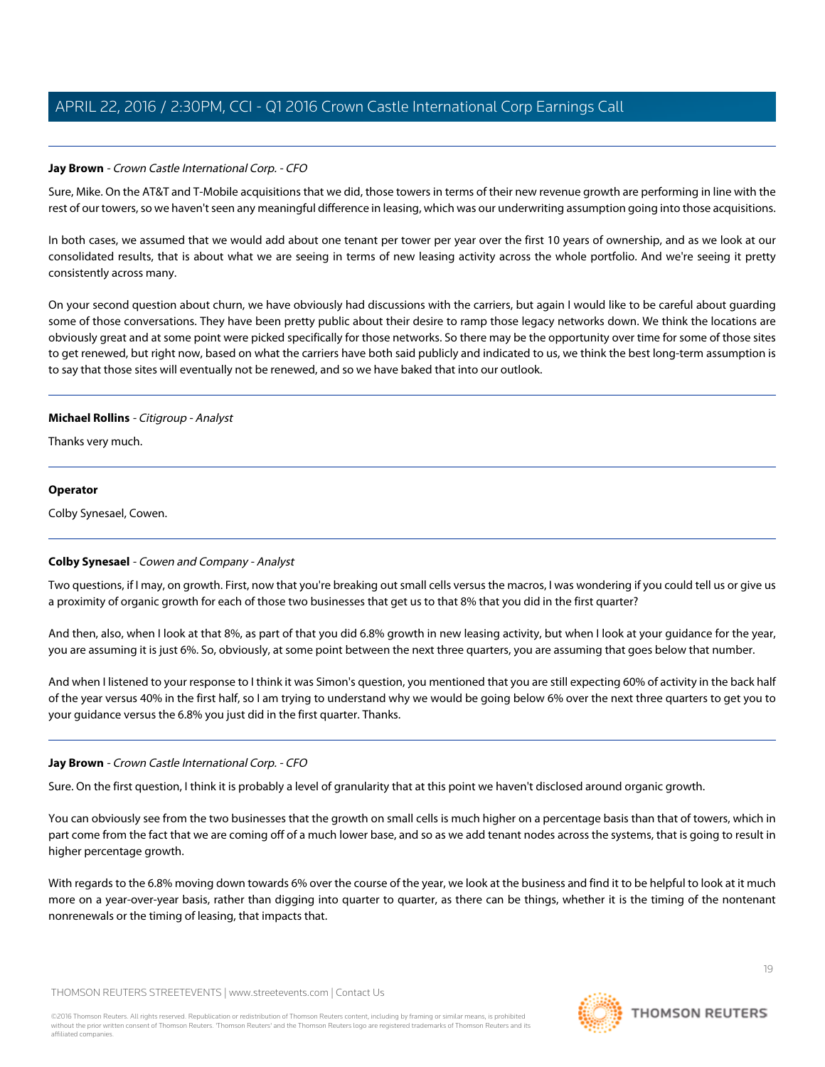# **Jay Brown** - Crown Castle International Corp. - CFO

Sure, Mike. On the AT&T and T-Mobile acquisitions that we did, those towers in terms of their new revenue growth are performing in line with the rest of our towers, so we haven't seen any meaningful difference in leasing, which was our underwriting assumption going into those acquisitions.

In both cases, we assumed that we would add about one tenant per tower per year over the first 10 years of ownership, and as we look at our consolidated results, that is about what we are seeing in terms of new leasing activity across the whole portfolio. And we're seeing it pretty consistently across many.

On your second question about churn, we have obviously had discussions with the carriers, but again I would like to be careful about guarding some of those conversations. They have been pretty public about their desire to ramp those legacy networks down. We think the locations are obviously great and at some point were picked specifically for those networks. So there may be the opportunity over time for some of those sites to get renewed, but right now, based on what the carriers have both said publicly and indicated to us, we think the best long-term assumption is to say that those sites will eventually not be renewed, and so we have baked that into our outlook.

# **Michael Rollins** - Citigroup - Analyst

Thanks very much.

### **Operator**

<span id="page-18-0"></span>Colby Synesael, Cowen.

# **Colby Synesael** - Cowen and Company - Analyst

Two questions, if I may, on growth. First, now that you're breaking out small cells versus the macros, I was wondering if you could tell us or give us a proximity of organic growth for each of those two businesses that get us to that 8% that you did in the first quarter?

And then, also, when I look at that 8%, as part of that you did 6.8% growth in new leasing activity, but when I look at your guidance for the year, you are assuming it is just 6%. So, obviously, at some point between the next three quarters, you are assuming that goes below that number.

And when I listened to your response to I think it was Simon's question, you mentioned that you are still expecting 60% of activity in the back half of the year versus 40% in the first half, so I am trying to understand why we would be going below 6% over the next three quarters to get you to your guidance versus the 6.8% you just did in the first quarter. Thanks.

# **Jay Brown** - Crown Castle International Corp. - CFO

Sure. On the first question, I think it is probably a level of granularity that at this point we haven't disclosed around organic growth.

You can obviously see from the two businesses that the growth on small cells is much higher on a percentage basis than that of towers, which in part come from the fact that we are coming off of a much lower base, and so as we add tenant nodes across the systems, that is going to result in higher percentage growth.

With regards to the 6.8% moving down towards 6% over the course of the year, we look at the business and find it to be helpful to look at it much more on a year-over-year basis, rather than digging into quarter to quarter, as there can be things, whether it is the timing of the nontenant nonrenewals or the timing of leasing, that impacts that.

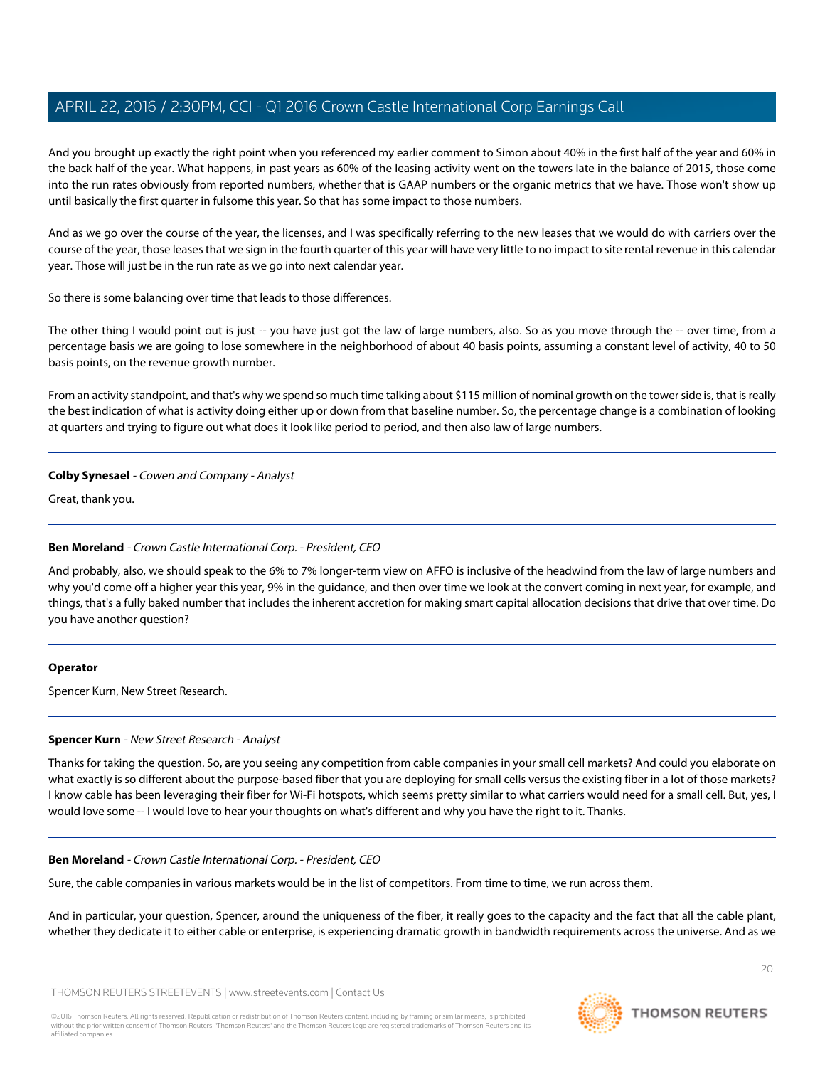And you brought up exactly the right point when you referenced my earlier comment to Simon about 40% in the first half of the year and 60% in the back half of the year. What happens, in past years as 60% of the leasing activity went on the towers late in the balance of 2015, those come into the run rates obviously from reported numbers, whether that is GAAP numbers or the organic metrics that we have. Those won't show up until basically the first quarter in fulsome this year. So that has some impact to those numbers.

And as we go over the course of the year, the licenses, and I was specifically referring to the new leases that we would do with carriers over the course of the year, those leases that we sign in the fourth quarter of this year will have very little to no impact to site rental revenue in this calendar year. Those will just be in the run rate as we go into next calendar year.

So there is some balancing over time that leads to those differences.

The other thing I would point out is just -- you have just got the law of large numbers, also. So as you move through the -- over time, from a percentage basis we are going to lose somewhere in the neighborhood of about 40 basis points, assuming a constant level of activity, 40 to 50 basis points, on the revenue growth number.

From an activity standpoint, and that's why we spend so much time talking about \$115 million of nominal growth on the tower side is, that is really the best indication of what is activity doing either up or down from that baseline number. So, the percentage change is a combination of looking at quarters and trying to figure out what does it look like period to period, and then also law of large numbers.

# **Colby Synesael** - Cowen and Company - Analyst

Great, thank you.

# **Ben Moreland** - Crown Castle International Corp. - President, CEO

And probably, also, we should speak to the 6% to 7% longer-term view on AFFO is inclusive of the headwind from the law of large numbers and why you'd come off a higher year this year, 9% in the guidance, and then over time we look at the convert coming in next year, for example, and things, that's a fully baked number that includes the inherent accretion for making smart capital allocation decisions that drive that over time. Do you have another question?

# <span id="page-19-0"></span>**Operator**

Spencer Kurn, New Street Research.

# **Spencer Kurn** - New Street Research - Analyst

Thanks for taking the question. So, are you seeing any competition from cable companies in your small cell markets? And could you elaborate on what exactly is so different about the purpose-based fiber that you are deploying for small cells versus the existing fiber in a lot of those markets? I know cable has been leveraging their fiber for Wi-Fi hotspots, which seems pretty similar to what carriers would need for a small cell. But, yes, I would love some -- I would love to hear your thoughts on what's different and why you have the right to it. Thanks.

# **Ben Moreland** - Crown Castle International Corp. - President, CEO

Sure, the cable companies in various markets would be in the list of competitors. From time to time, we run across them.

And in particular, your question, Spencer, around the uniqueness of the fiber, it really goes to the capacity and the fact that all the cable plant, whether they dedicate it to either cable or enterprise, is experiencing dramatic growth in bandwidth requirements across the universe. And as we

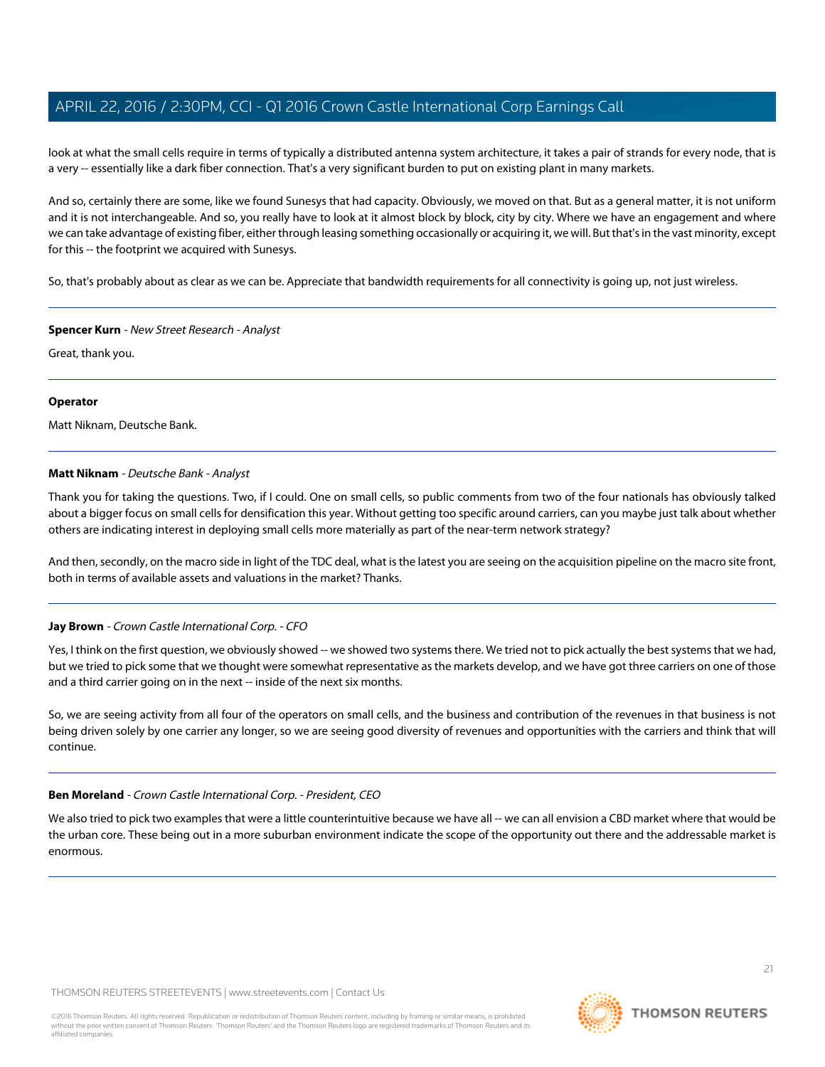look at what the small cells require in terms of typically a distributed antenna system architecture, it takes a pair of strands for every node, that is a very -- essentially like a dark fiber connection. That's a very significant burden to put on existing plant in many markets.

And so, certainly there are some, like we found Sunesys that had capacity. Obviously, we moved on that. But as a general matter, it is not uniform and it is not interchangeable. And so, you really have to look at it almost block by block, city by city. Where we have an engagement and where we can take advantage of existing fiber, either through leasing something occasionally or acquiring it, we will. But that's in the vast minority, except for this -- the footprint we acquired with Sunesys.

So, that's probably about as clear as we can be. Appreciate that bandwidth requirements for all connectivity is going up, not just wireless.

### **Spencer Kurn** - New Street Research - Analyst

Great, thank you.

### **Operator**

<span id="page-20-0"></span>Matt Niknam, Deutsche Bank.

# **Matt Niknam** - Deutsche Bank - Analyst

Thank you for taking the questions. Two, if I could. One on small cells, so public comments from two of the four nationals has obviously talked about a bigger focus on small cells for densification this year. Without getting too specific around carriers, can you maybe just talk about whether others are indicating interest in deploying small cells more materially as part of the near-term network strategy?

And then, secondly, on the macro side in light of the TDC deal, what is the latest you are seeing on the acquisition pipeline on the macro site front, both in terms of available assets and valuations in the market? Thanks.

# **Jay Brown** - Crown Castle International Corp. - CFO

Yes, I think on the first question, we obviously showed -- we showed two systems there. We tried not to pick actually the best systems that we had, but we tried to pick some that we thought were somewhat representative as the markets develop, and we have got three carriers on one of those and a third carrier going on in the next -- inside of the next six months.

So, we are seeing activity from all four of the operators on small cells, and the business and contribution of the revenues in that business is not being driven solely by one carrier any longer, so we are seeing good diversity of revenues and opportunities with the carriers and think that will continue.

# **Ben Moreland** - Crown Castle International Corp. - President, CEO

We also tried to pick two examples that were a little counterintuitive because we have all -- we can all envision a CBD market where that would be the urban core. These being out in a more suburban environment indicate the scope of the opportunity out there and the addressable market is enormous.

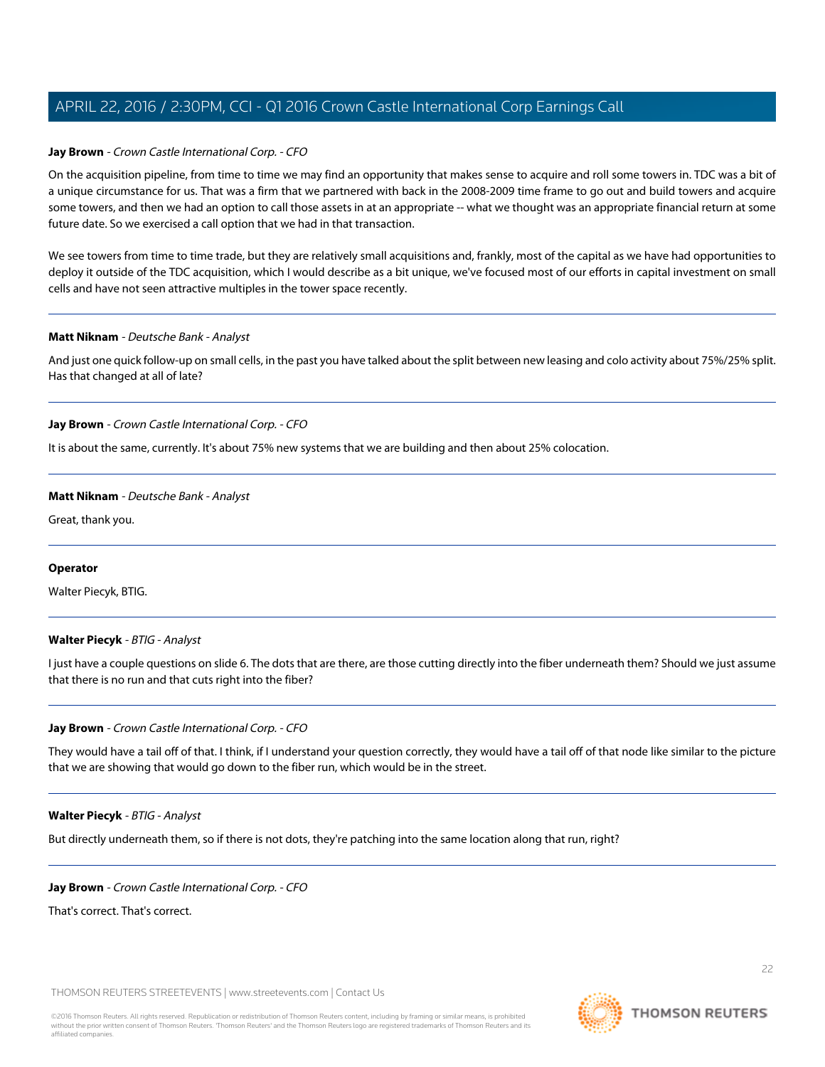### **Jay Brown** - Crown Castle International Corp. - CFO

On the acquisition pipeline, from time to time we may find an opportunity that makes sense to acquire and roll some towers in. TDC was a bit of a unique circumstance for us. That was a firm that we partnered with back in the 2008-2009 time frame to go out and build towers and acquire some towers, and then we had an option to call those assets in at an appropriate -- what we thought was an appropriate financial return at some future date. So we exercised a call option that we had in that transaction.

We see towers from time to time trade, but they are relatively small acquisitions and, frankly, most of the capital as we have had opportunities to deploy it outside of the TDC acquisition, which I would describe as a bit unique, we've focused most of our efforts in capital investment on small cells and have not seen attractive multiples in the tower space recently.

#### **Matt Niknam** - Deutsche Bank - Analyst

And just one quick follow-up on small cells, in the past you have talked about the split between new leasing and colo activity about 75%/25% split. Has that changed at all of late?

### **Jay Brown** - Crown Castle International Corp. - CFO

It is about the same, currently. It's about 75% new systems that we are building and then about 25% colocation.

### **Matt Niknam** - Deutsche Bank - Analyst

Great, thank you.

### <span id="page-21-0"></span>**Operator**

Walter Piecyk, BTIG.

### **Walter Piecyk** - BTIG - Analyst

I just have a couple questions on slide 6. The dots that are there, are those cutting directly into the fiber underneath them? Should we just assume that there is no run and that cuts right into the fiber?

#### **Jay Brown** - Crown Castle International Corp. - CFO

They would have a tail off of that. I think, if I understand your question correctly, they would have a tail off of that node like similar to the picture that we are showing that would go down to the fiber run, which would be in the street.

### **Walter Piecyk** - BTIG - Analyst

But directly underneath them, so if there is not dots, they're patching into the same location along that run, right?

#### **Jay Brown** - Crown Castle International Corp. - CFO

That's correct. That's correct.

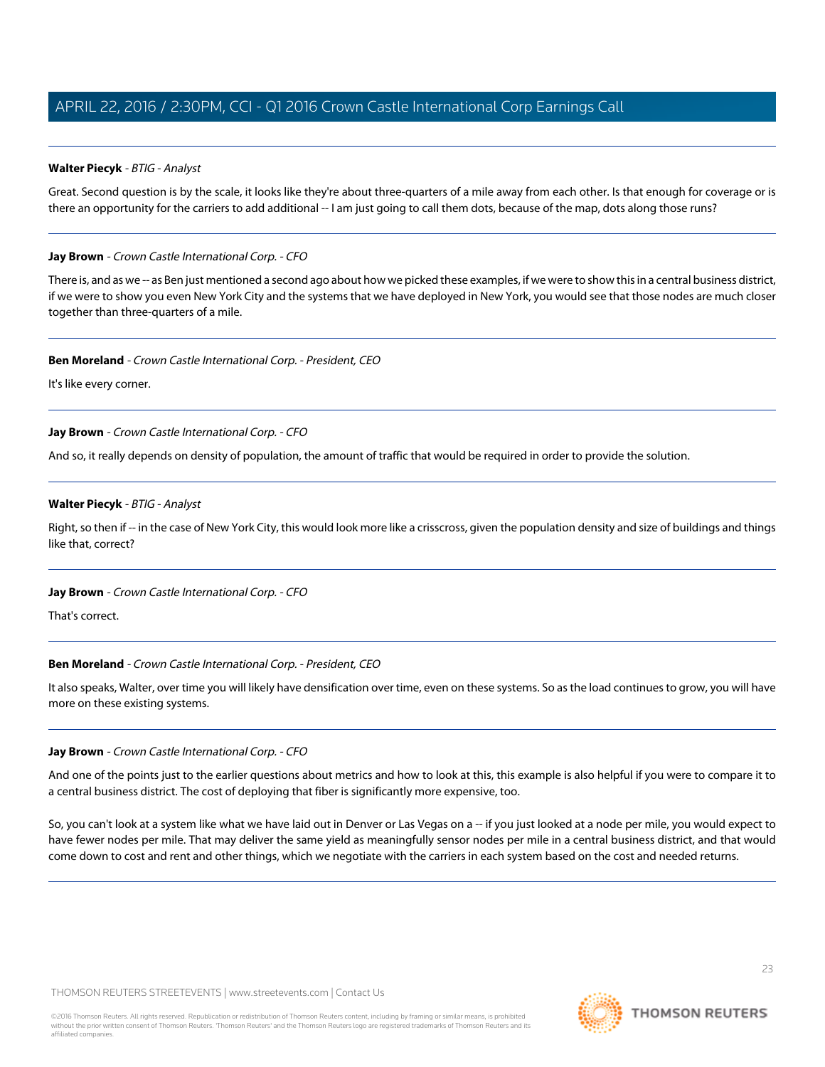# **Walter Piecyk** - BTIG - Analyst

Great. Second question is by the scale, it looks like they're about three-quarters of a mile away from each other. Is that enough for coverage or is there an opportunity for the carriers to add additional -- I am just going to call them dots, because of the map, dots along those runs?

# **Jay Brown** - Crown Castle International Corp. - CFO

There is, and as we -- as Ben just mentioned a second ago about how we picked these examples, if we were to show this in a central business district, if we were to show you even New York City and the systems that we have deployed in New York, you would see that those nodes are much closer together than three-quarters of a mile.

# **Ben Moreland** - Crown Castle International Corp. - President, CEO

It's like every corner.

# **Jay Brown** - Crown Castle International Corp. - CFO

And so, it really depends on density of population, the amount of traffic that would be required in order to provide the solution.

# **Walter Piecyk** - BTIG - Analyst

Right, so then if -- in the case of New York City, this would look more like a crisscross, given the population density and size of buildings and things like that, correct?

# **Jay Brown** - Crown Castle International Corp. - CFO

That's correct.

# **Ben Moreland** - Crown Castle International Corp. - President, CEO

It also speaks, Walter, over time you will likely have densification over time, even on these systems. So as the load continues to grow, you will have more on these existing systems.

# **Jay Brown** - Crown Castle International Corp. - CFO

And one of the points just to the earlier questions about metrics and how to look at this, this example is also helpful if you were to compare it to a central business district. The cost of deploying that fiber is significantly more expensive, too.

So, you can't look at a system like what we have laid out in Denver or Las Vegas on a -- if you just looked at a node per mile, you would expect to have fewer nodes per mile. That may deliver the same yield as meaningfully sensor nodes per mile in a central business district, and that would come down to cost and rent and other things, which we negotiate with the carriers in each system based on the cost and needed returns.



**THOMSON REUTERS**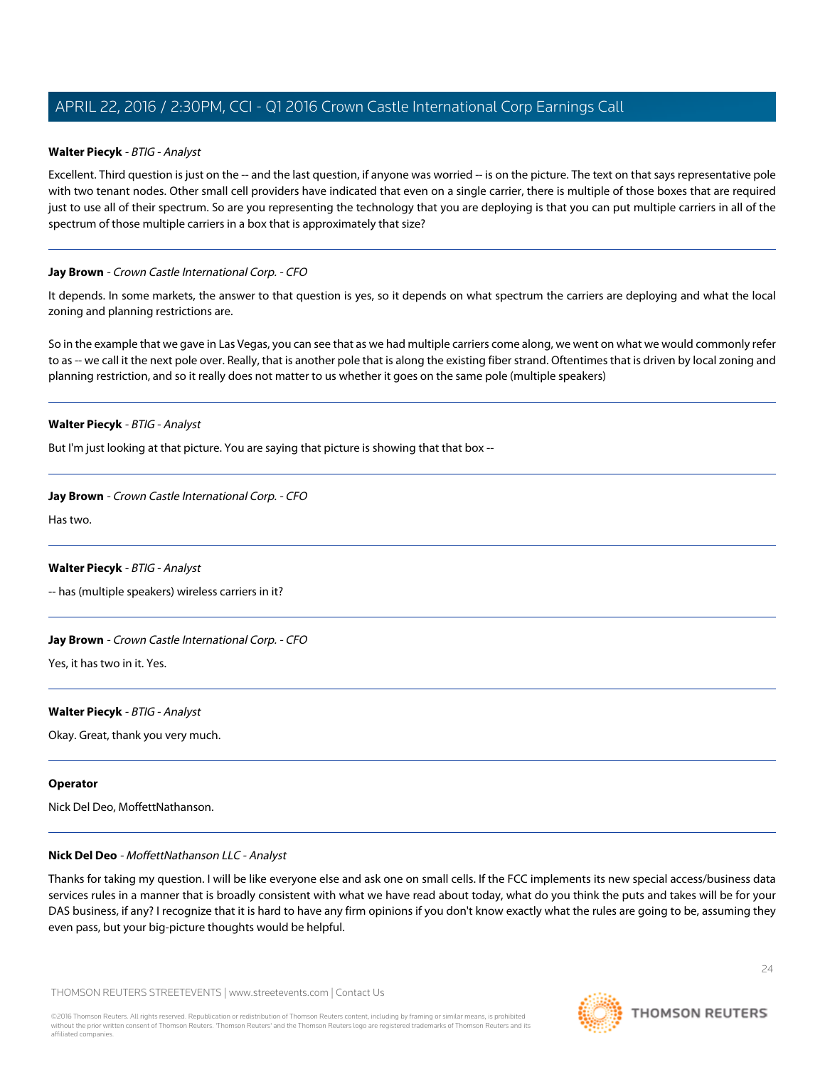### **Walter Piecyk** - BTIG - Analyst

Excellent. Third question is just on the -- and the last question, if anyone was worried -- is on the picture. The text on that says representative pole with two tenant nodes. Other small cell providers have indicated that even on a single carrier, there is multiple of those boxes that are required just to use all of their spectrum. So are you representing the technology that you are deploying is that you can put multiple carriers in all of the spectrum of those multiple carriers in a box that is approximately that size?

### **Jay Brown** - Crown Castle International Corp. - CFO

It depends. In some markets, the answer to that question is yes, so it depends on what spectrum the carriers are deploying and what the local zoning and planning restrictions are.

So in the example that we gave in Las Vegas, you can see that as we had multiple carriers come along, we went on what we would commonly refer to as -- we call it the next pole over. Really, that is another pole that is along the existing fiber strand. Oftentimes that is driven by local zoning and planning restriction, and so it really does not matter to us whether it goes on the same pole (multiple speakers)

### **Walter Piecyk** - BTIG - Analyst

But I'm just looking at that picture. You are saying that picture is showing that that box --

### **Jay Brown** - Crown Castle International Corp. - CFO

Has two.

# **Walter Piecyk** - BTIG - Analyst

-- has (multiple speakers) wireless carriers in it?

# **Jay Brown** - Crown Castle International Corp. - CFO

Yes, it has two in it. Yes.

### **Walter Piecyk** - BTIG - Analyst

Okay. Great, thank you very much.

### <span id="page-23-0"></span>**Operator**

Nick Del Deo, MoffettNathanson.

### **Nick Del Deo** - MoffettNathanson LLC - Analyst

Thanks for taking my question. I will be like everyone else and ask one on small cells. If the FCC implements its new special access/business data services rules in a manner that is broadly consistent with what we have read about today, what do you think the puts and takes will be for your DAS business, if any? I recognize that it is hard to have any firm opinions if you don't know exactly what the rules are going to be, assuming they even pass, but your big-picture thoughts would be helpful.

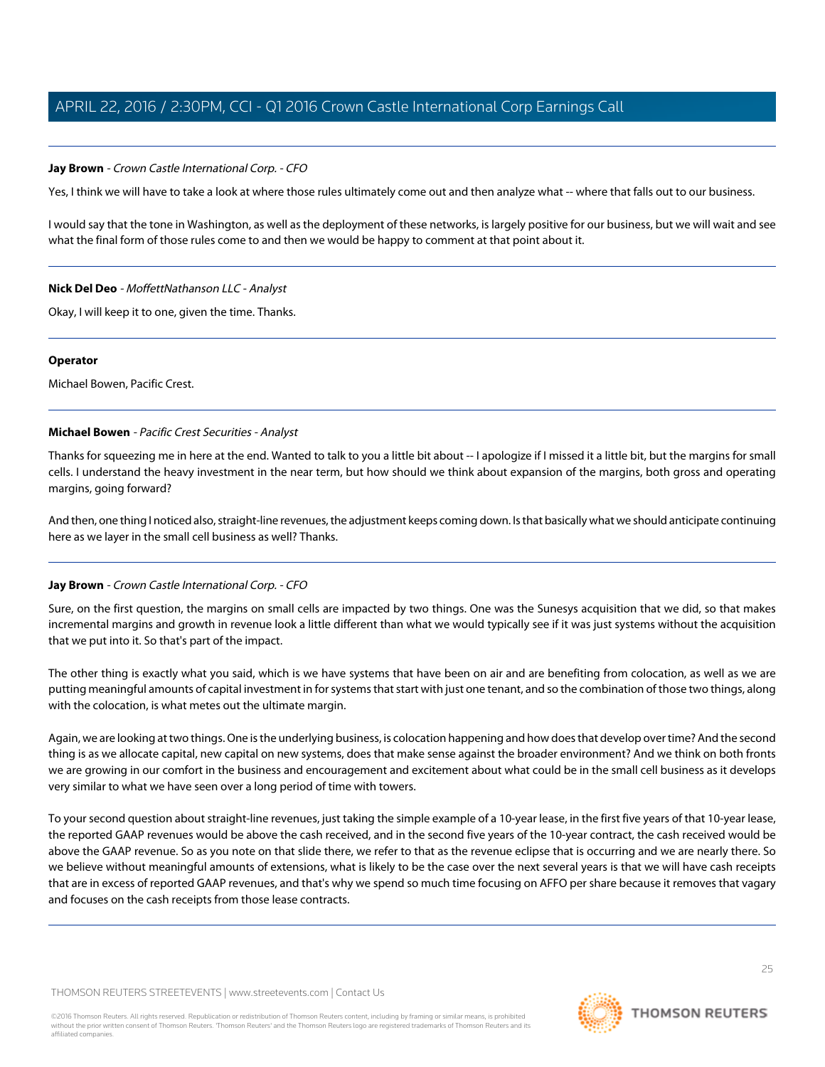# **Jay Brown** - Crown Castle International Corp. - CFO

Yes, I think we will have to take a look at where those rules ultimately come out and then analyze what -- where that falls out to our business.

I would say that the tone in Washington, as well as the deployment of these networks, is largely positive for our business, but we will wait and see what the final form of those rules come to and then we would be happy to comment at that point about it.

### **Nick Del Deo** - MoffettNathanson LLC - Analyst

Okay, I will keep it to one, given the time. Thanks.

### **Operator**

<span id="page-24-0"></span>Michael Bowen, Pacific Crest.

# **Michael Bowen** - Pacific Crest Securities - Analyst

Thanks for squeezing me in here at the end. Wanted to talk to you a little bit about -- I apologize if I missed it a little bit, but the margins for small cells. I understand the heavy investment in the near term, but how should we think about expansion of the margins, both gross and operating margins, going forward?

And then, one thing I noticed also, straight-line revenues, the adjustment keeps coming down. Is that basically what we should anticipate continuing here as we layer in the small cell business as well? Thanks.

# **Jay Brown** - Crown Castle International Corp. - CFO

Sure, on the first question, the margins on small cells are impacted by two things. One was the Sunesys acquisition that we did, so that makes incremental margins and growth in revenue look a little different than what we would typically see if it was just systems without the acquisition that we put into it. So that's part of the impact.

The other thing is exactly what you said, which is we have systems that have been on air and are benefiting from colocation, as well as we are putting meaningful amounts of capital investment in for systems that start with just one tenant, and so the combination of those two things, along with the colocation, is what metes out the ultimate margin.

Again, we are looking at two things. One is the underlying business, is colocation happening and how does that develop over time? And the second thing is as we allocate capital, new capital on new systems, does that make sense against the broader environment? And we think on both fronts we are growing in our comfort in the business and encouragement and excitement about what could be in the small cell business as it develops very similar to what we have seen over a long period of time with towers.

To your second question about straight-line revenues, just taking the simple example of a 10-year lease, in the first five years of that 10-year lease, the reported GAAP revenues would be above the cash received, and in the second five years of the 10-year contract, the cash received would be above the GAAP revenue. So as you note on that slide there, we refer to that as the revenue eclipse that is occurring and we are nearly there. So we believe without meaningful amounts of extensions, what is likely to be the case over the next several years is that we will have cash receipts that are in excess of reported GAAP revenues, and that's why we spend so much time focusing on AFFO per share because it removes that vagary and focuses on the cash receipts from those lease contracts.

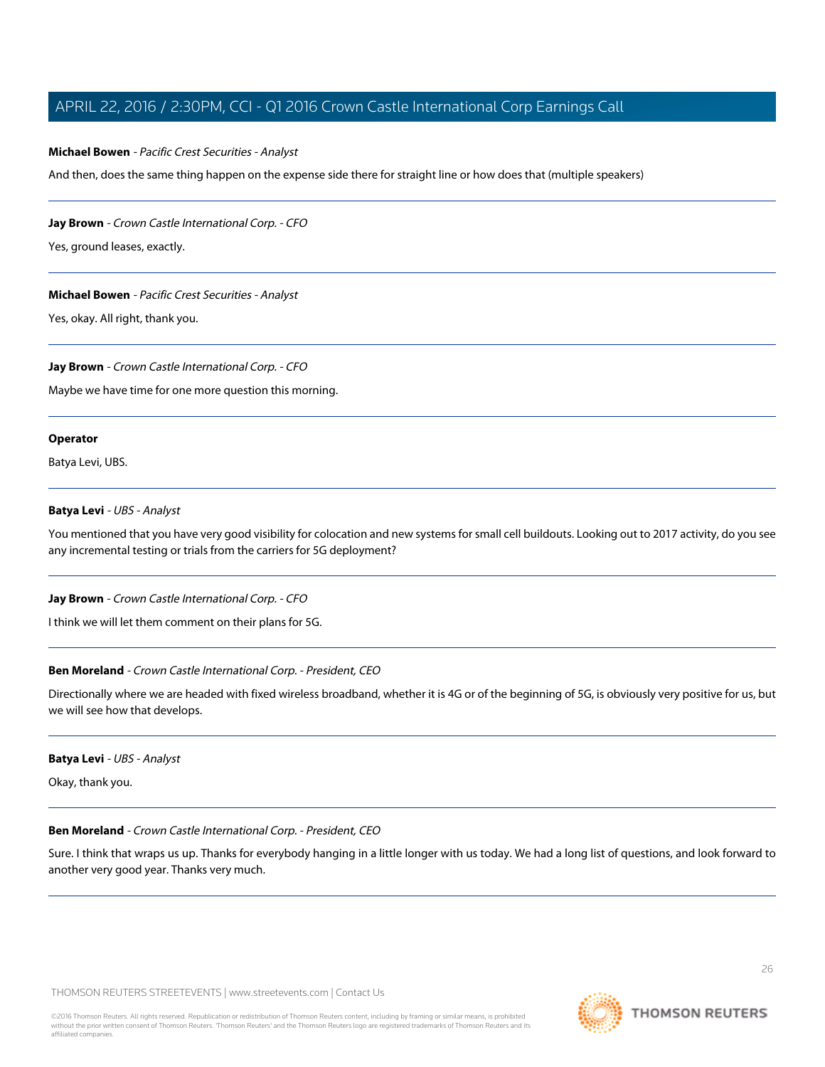### **Michael Bowen** - Pacific Crest Securities - Analyst

And then, does the same thing happen on the expense side there for straight line or how does that (multiple speakers)

### **Jay Brown** - Crown Castle International Corp. - CFO

Yes, ground leases, exactly.

### **Michael Bowen** - Pacific Crest Securities - Analyst

Yes, okay. All right, thank you.

### **Jay Brown** - Crown Castle International Corp. - CFO

Maybe we have time for one more question this morning.

### **Operator**

<span id="page-25-0"></span>Batya Levi, UBS.

### **Batya Levi** - UBS - Analyst

You mentioned that you have very good visibility for colocation and new systems for small cell buildouts. Looking out to 2017 activity, do you see any incremental testing or trials from the carriers for 5G deployment?

### **Jay Brown** - Crown Castle International Corp. - CFO

I think we will let them comment on their plans for 5G.

### **Ben Moreland** - Crown Castle International Corp. - President, CEO

Directionally where we are headed with fixed wireless broadband, whether it is 4G or of the beginning of 5G, is obviously very positive for us, but we will see how that develops.

### **Batya Levi** - UBS - Analyst

Okay, thank you.

# **Ben Moreland** - Crown Castle International Corp. - President, CEO

Sure. I think that wraps us up. Thanks for everybody hanging in a little longer with us today. We had a long list of questions, and look forward to another very good year. Thanks very much.